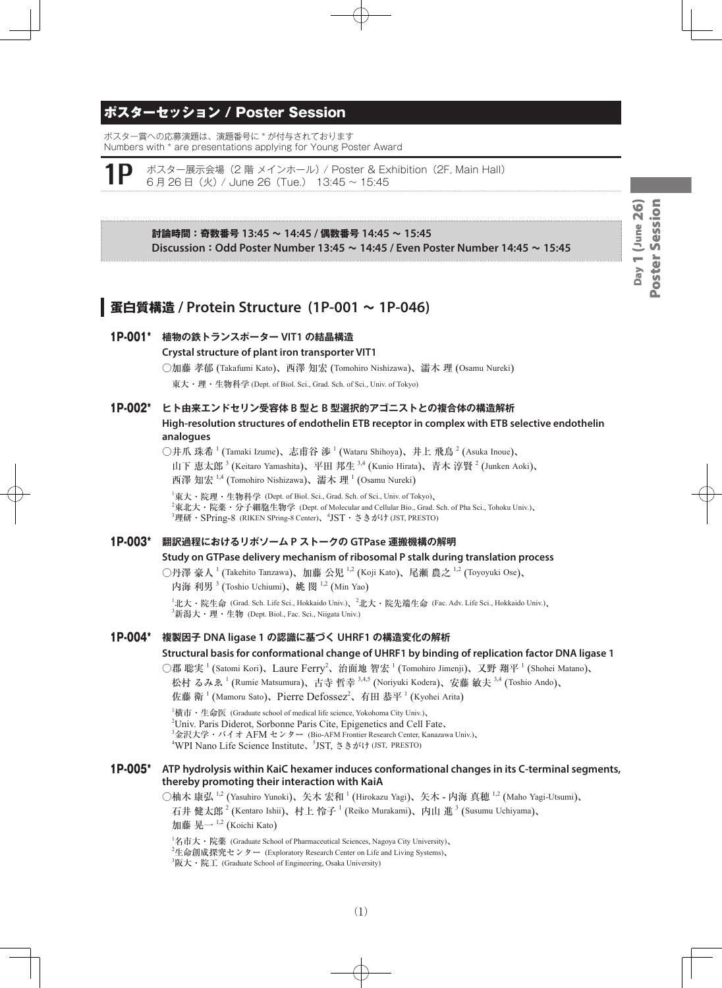# ポスターセッション / Poster Session

ポスター賞への応募演題は、演題番号に \* が付与されております Numbers with \* are presentations applying for Young Poster Award

ポスター展示会場 (2 階 メインホール) / Poster & Exhibition (2F, Main Hall) 6 月 26 日(火) / June 26(Tue.) 13:45 ~ 15:45

> **討論時間:奇数番号 13:45 ~ 14:45 / 偶数番号 14:45 ~ 15:45 Discussion:Odd Poster Number 13:45 ~ 14:45 / Even Poster Number 14:45 ~ 15:45**

# **蛋白質構造 / Protein Structure (1P-001 ~ 1P-046)**

#### 1P-001\* **植物の鉄トランスポーター VIT1 の結晶構造**

#### **Crystal structure of plant iron transporter VIT1**

○加藤 孝郁 (Takafumi Kato)、西澤 知宏 (Tomohiro Nishizawa)、濡木 理 (Osamu Nureki)

東大・理・生物科学 (Dept. of Biol. Sci., Grad. Sch. of Sci., Univ. of Tokyo)

# 1P-002\* **ヒト由来エンドセリン受容体 B 型と B 型選択的アゴニストとの複合体の構造解析 High-resolution structures of endothelin ETB receptor in complex with ETB selective endothelin analogues**

○井爪 珠希 <sup>1</sup> (Tamaki Izume)、志甫谷 渉 <sup>1</sup> (Wataru Shihoya)、井上 飛鳥 <sup>2</sup> (Asuka Inoue)、 山下 恵太郎<sup>3</sup> (Keitaro Yamashita)、平田 邦生 <sup>3,4</sup> (Kunio Hirata)、青木 淳賢 <sup>2</sup> (Junken Aoki)、 西澤 知宏  $1,4$  (Tomohiro Nishizawa)、濡木 理  $^{1}$  (Osamu Nureki)

 $^{\rm I}$ 東大・院理・生物科学 (Dept. of Biol. Sci., Grad. Sch. of Sci., Univ. of Tokyo)、 2 東北大・院薬・分子細胞生物学 (Dept. of Molecular and Cellular Bio., Grad. Sch. of Pha Sci., Tohoku Univ.)、  $^3$ 理研・S $\rm Pring$ -8 (RIKEN S $\rm Pring$ -8 Center)、 $^4\rm JST$ ・さきがけ (JST, <code>PRESTO</code>)

#### 1P-003\* **翻訳過程におけるリボソーム P ストークの GTPase 運搬機構の解明**

#### **Study on GTPase delivery mechanism of ribosomal P stalk during translation process**

○丹澤 豪人  $^1$  (Takehito Tanzawa)、加藤 公児  $^{1,2}$  (Koji Kato)、尾瀬 農之  $^{1,2}$  (Toyoyuki Ose)、 内海 利男<sup>3</sup> (Toshio Uchiumi)、姚 閔<sup>1,2</sup> (Min Yao)

 $^1$ 北大・院生命 (Grad. Sch. Life Sci., Hokkaido Univ.)、 $^2$ 北大・院先端生命 (Fac. Adv. Life Sci., Hokkaido Univ.)、  $^3$ 新潟大・理・生物 (Dept. Biol., Fac. Sci., Niigata Univ.)

1P-004\* **複製因子 DNA ligase 1 の認識に基づく UHRF1 の構造変化の解析**

**Structural basis for conformational change of UHRF1 by binding of replication factor DNA ligase 1**

○郡 聡実<sup>1</sup> (Satomi Kori)、Laure Ferry<sup>2</sup>、治面地 智宏<sup>1</sup> (Tomohiro Jimenji)、又野 翔平<sup>1</sup> (Shohei Matano)、 松村 るみゑ <sup>1</sup> (Rumie Matsumura)、古寺 哲幸 <sup>3,4,5</sup> (Noriyuki Kodera)、安藤 敏夫 <sup>3,4</sup> (Toshio Ando)、

佐藤 衛 <sup>1</sup> (Mamoru Sato)、Pierre Defossez<sup>2</sup>、有田 恭平 <sup>1</sup> (Kyohei Arita)

1 横市・生命医 (Graduate school of medical life science, Yokohoma City Univ.)、 <sup>2</sup>Univ. Paris Diderot, Sorbonne Paris Cite, Epigenetics and Cell Fate, <sup>3</sup>金沢大学・バイオ AFM センター (Bio-AFM Frontier Research Center, Kanazawa Univ.)、 <sup>4</sup>WPI Nano Life Science Institute、5JST, さきがけ (JST, PRESTO)

#### 1P-005\* **ATP hydrolysis within KaiC hexamer induces conformational changes in its C-terminal segments, thereby promoting their interaction with KaiA**

○柚木 康弘 <sup>1,2</sup> (Yasuhiro Yunoki)、矢木 宏和 <sup>1</sup> (Hirokazu Yagi)、矢木 - 内海 真穂 <sup>1,2</sup> (Maho Yagi-Utsumi)、 石井 健太郎  $^2$  (Kentaro Ishii)、村上 怜子  $^1$  (Reiko Murakami)、内山 進  $^3$  (Susumu Uchiyama)、 加藤 晃一  $^{1,2}$  (Koichi Kato)

 ${}^{1}$ 名市大・院薬 (Graduate School of Pharmaceutical Sciences, Nagoya City University)、 <sup>2</sup>生命創成探究センター (Exploratory Research Center on Life and Living Systems)、  ${}^{3}$ 阪大・院工 (Graduate School of Engineering, Osaka University)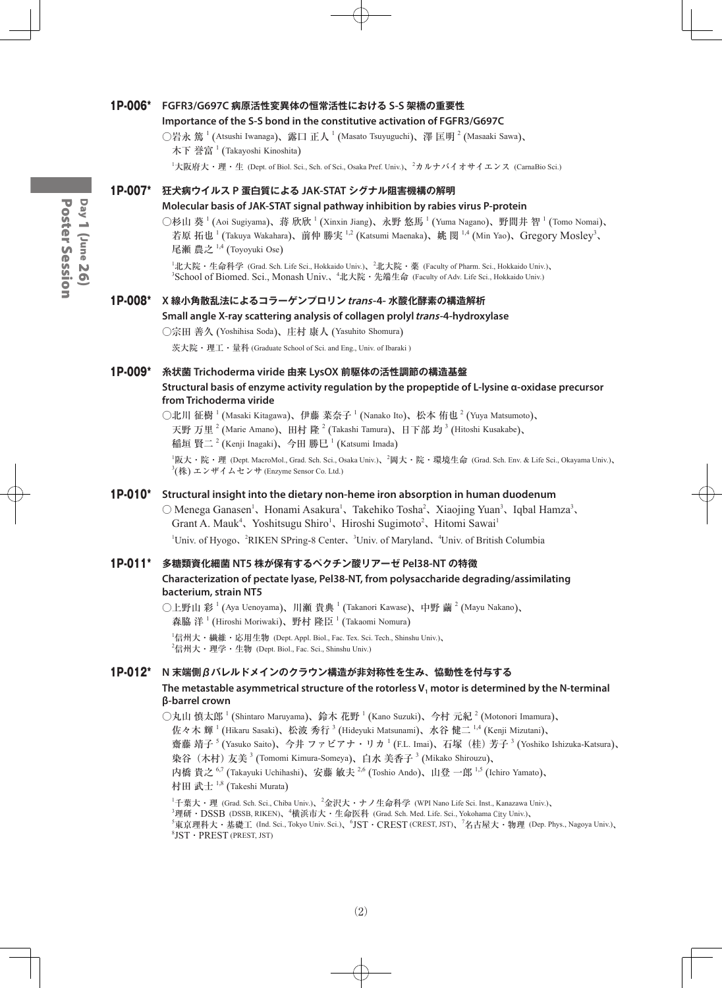#### 1P-006\* **FGFR3/G697C 病原活性変異体の恒常活性における S-S 架橋の重要性**

#### **Importance of the S-S bond in the constitutive activation of FGFR3/G697C**

○岩永 篤  $^1$  (Atsushi Iwanaga)、露口 正人  $^1$  (Masato Tsuyuguchi)、澤 匡明  $^2$  (Masaaki Sawa)、 木下 誉富  $^1$  (Takayoshi Kinoshita)

<sup>1</sup>大阪府大・理・生 (Dept. of Biol. Sci., Sch. of Sci., Osaka Pref. Univ.)、<sup>2</sup>カルナバイオサイエンス (CarnaBio Sci.)

# 1P-007\* **狂犬病ウイルス P 蛋白質による JAK-STAT シグナル阻害機構の解明**

#### **Molecular basis of JAK-STAT signal pathway inhibition by rabies virus P-protein**

○杉山 葵 <sup>1</sup> (Aoi Sugiyama)、蒋 欣欣 <sup>1</sup> (Xinxin Jiang)、永野 悠馬 <sup>1</sup> (Yuma Nagano)、野間井 智 <sup>1</sup> (Tomo Nomai)、 若原 拓也 <sup>1</sup> (Takuya Wakahara)、前仲 勝実 <sup>1,2</sup> (Katsumi Maenaka)、姚 閔 <sup>1,4</sup> (Min Yao)、Gregory Mosley<sup>3</sup>、 尾瀬 農之 <sup>1,4</sup> (Toyoyuki Ose)

<sup>1</sup>北大院・生命科学 (Grad. Sch. Life Sci., Hokkaido Univ.)、<sup>2</sup>北大院・薬 (Faculty of Pharm. Sci., Hokkaido Univ.)、 <sup>3</sup>School of Biomed. Sci., Monash Univ.、<sup>4</sup>北大院 · 先端生命 (Faculty of Adv. Life Sci., Hokkaido Univ.)

#### 1P-008\* **X 線小角散乱法によるコラーゲンプロリンtrans-4- 水酸化酵素の構造解析**

#### **Small angle X-ray scattering analysis of collagen prolyl trans-4-hydroxylase**

○宗田 善久 (Yoshihisa Soda)、庄村 康人 (Yasuhito Shomura)

茨大院・理工・量科 (Graduate School of Sci. and Eng., Univ. of Ibaraki )

#### 1P-009\* **糸状菌 Trichoderma viride 由来 LysOX 前駆体の活性調節の構造基盤 Structural basis of enzyme activity regulation by the propeptide of L-lysine α-oxidase precursor from Trichoderma viride**

○北川 征樹 <sup>1</sup> (Masaki Kitagawa)、伊藤 菜奈子 <sup>1</sup> (Nanako Ito)、松本 侑也 <sup>2</sup> (Yuya Matsumoto)、 天野 万里  $^2$  (Marie Amano)、田村 隆  $^2$  (Takashi Tamura)、日下部 均  $^3$  (Hitoshi Kusakabe)、 稲垣 賢二  $^2$  (Kenji Inagaki)、今田 勝巳  $^1$  (Katsumi Imada)

1 阪大・院・理 (Dept. MacroMol., Grad. Sch. Sci., Osaka Univ.)、<sup>2</sup> 岡大・院・環境生命 (Grad. Sch. Env. & Life Sci., Okayama Univ.)、  $\mathbb{P}^3(\#)$  エンザイムセンサ (Enzyme Sensor Co. Ltd.)

#### 1P-010\* **Structural insight into the dietary non-heme iron absorption in human duodenum**

 $\bigcirc$  Menega Ganasen<sup>1</sup>, Honami Asakura<sup>1</sup>, Takehiko Tosha<sup>2</sup>, Xiaojing Yuan<sup>3</sup>, Iqbal Hamza<sup>3</sup>, Grant A. Mauk<sup>4</sup>, Yoshitsugu Shiro<sup>1</sup>, Hiroshi Sugimoto<sup>2</sup>, Hitomi Sawai<sup>1</sup> <sup>1</sup>Univ. of Hyogo、<sup>2</sup>RIKEN SPring-8 Center、<sup>3</sup>Univ. of Maryland、<sup>4</sup>Univ. of British Columbia

#### 1P-011\* **多糖類資化細菌 NT5 株が保有するペクチン酸リアーゼ Pel38-NT の特徴**

#### **Characterization of pectate lyase, Pel38-NT, from polysaccharide degrading/assimilating bacterium, strain NT5**

○上野山 彩  $^1$  (Aya Uenoyama)、川瀬 貴典  $^1$  (Takanori Kawase)、中野 繭  $^2$  (Mayu Nakano)、 森脇 洋  $^1$  (Hiroshi Moriwaki)、野村 隆臣  $^1$  (Takaomi Nomura)  $^1$ 信州大・繊維・応用生物 (Dept. Appl. Biol., Fac. Tex. Sci. Tech., Shinshu Univ.)、  $^2$ 信州大・理学・生物 (Dept. Biol., Fac. Sci., Shinshu Univ.)

#### 1P-012\* **N 末端側βバレルドメインのクラウン構造が非対称性を生み、恊動性を付与する**

#### The metastable asymmetrical structure of the rotorless V<sub>1</sub> motor is determined by the N-terminal **β-barrel crown**

○丸山 慎太郎  $^1$  (Shintaro Maruyama)、鈴木 花野  $^1$  (Kano Suzuki)、今村 元紀  $^2$  (Motonori Imamura)、 佐々木 輝 <sup>1</sup> (Hikaru Sasaki)、松波 秀行 <sup>3</sup> (Hideyuki Matsunami)、水谷 健二 <sup>1,4</sup> (Kenji Mizutani)、 齋藤 靖子 <sup>5</sup> (Yasuko Saito)、今井 ファビアナ・リカ <sup>1</sup> (F.L. Imai)、石塚(桂)芳子 <sup>3</sup> (Yoshiko Ishizuka-Katsura)、 染谷(木村)友美 <sup>3</sup> (Tomomi Kimura-Someya)、白水 美香子 <sup>3</sup> (Mikako Shirouzu)、 内橋 貴之 <sup>6,7</sup> (Takayuki Uchihashi)、安藤 敏夫 <sup>2,6</sup> (Toshio Ando)、山登 一郎 <sup>1,5</sup> (Ichiro Yamato)、 村田 武士 <sup>1,8</sup> (Takeshi Murata)

 $^1$ 千葉大・理 (Grad. Sch. Sci., Chiba Univ.)、 $^2$ 金沢大・ナノ生命科学 (WPI Nano Life Sci. Inst., Kanazawa Univ.)、  $^3$ 理研・ $DSSB$  (DSSB, RIKEN)、 $^4$ 横浜市大・生命医科 (Grad. Sch. Med. Life. Sci., Yokohama City Univ.)、  $^5$ 東京理科大・基礎工 (Ind. Sci., Tokyo Univ. Sci.)、 $^6$ JST・CREST (CREST, JST)、 $^7$ 名古屋大・物理 (Dep. Phys., Nagoya Univ.)、 8 JST・PREST (PREST, JST)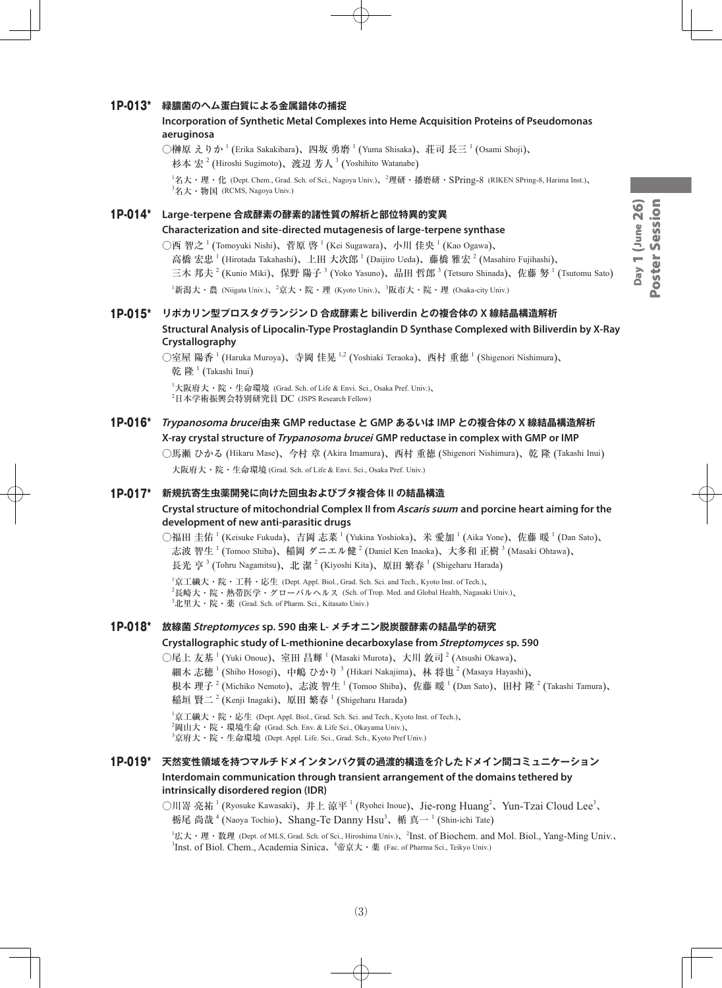# Day 1 (June 26)<br>Poster Session Day 1 (June 26) Poster Session

#### 1P-013\* **緑膿菌のヘム蛋白質による金属錯体の捕捉**

3 名大・物国 (RCMS, Nagoya Univ.)

#### **Incorporation of Synthetic Metal Complexes into Heme Acquisition Proteins of Pseudomonas aeruginosa**

 $\bigcirc$ 榊原 えりか  $^1$  (Erika Sakakibara)、四坂 勇磨  $^1$  (Yuma Shisaka)、荘司 長三  $^1$  (Osami Shoji)、 杉本 宏  $^{2}$  (Hiroshi Sugimoto)、渡辺 芳人  $^{3}$  (Yoshihito Watanabe) 1 名大・理・化 (Dept. Chem., Grad. Sch. of Sci., Nagoya Univ.)、<sup>2</sup> 理研・播磨研・SPring-8 (RIKEN SPring-8, Harima Inst.)、

1P-014\* **Large-terpene 合成酵素の酵素的諸性質の解析と部位特異的変異**

#### **Characterization and site-directed mutagenesis of large-terpene synthase**

○西 智之 <sup>1</sup> (Tomoyuki Nishi)、菅原 啓 <sup>1</sup> (Kei Sugawara)、小川 佳央 <sup>1</sup> (Kao Ogawa)、 高橋 宏忠  $^1$  (Hirotada Takahashi)、上田 大次郎  $^1$  (Daijiro Ueda)、藤橋 雅宏  $^2$  (Masahiro Fujihashi)、 三木 邦夫  $^2$  (Kunio Miki)、保野 陽子  $^3$  (Yoko Yasuno)、品田 哲郎  $^3$  (Tetsuro Shinada)、佐藤 努  $^1$  (Tsutomu Sato) <sup>1</sup>新潟大・農 (Niigata Univ.)、<sup>2</sup>京大・院・理 (Kyoto Univ.)、<sup>3</sup>阪市大・院・理 (Osaka-city Univ.)

# 1P-015\* **リポカリン型プロスタグランジン D 合成酵素と biliverdin との複合体の X 線結晶構造解析**

# **Structural Analysis of Lipocalin-Type Prostaglandin D Synthase Complexed with Biliverdin by X-Ray Crystallography**

○室屋 陽香 <sup>1</sup> (Haruka Muroya)、寺岡 佳晃 <sup>1,2</sup> (Yoshiaki Teraoka)、西村 重徳 <sup>1</sup> (Shigenori Nishimura)、 乾 隆  $^1$  (Takashi Inui)

1 大阪府大・院・生命環境 (Grad. Sch. of Life & Envi. Sci., Osaka Pref. Univ.)、 2 日本学術振興会特別研究員 DC (JSPS Research Fellow)

# 1P-016\* **Trypanosoma brucei由来 GMP reductase と GMP あるいは IMP との複合体の X 線結晶構造解析 X-ray crystal structure of Trypanosoma brucei GMP reductase in complex with GMP or IMP**

○馬瀬 ひかる (Hikaru Mase)、今村 章 (Akira Imamura)、西村 重徳 (Shigenori Nishimura)、乾 隆 (Takashi Inui) 大阪府大・院・生命環境 (Grad. Sch. of Life & Envi. Sci., Osaka Pref. Univ.)

#### 1P-017\* **新規抗寄生虫薬開発に向けた回虫およびブタ複合体 II の結晶構造**

#### **Crystal structure of mitochondrial Complex II from Ascaris suum and porcine heart aiming for the development of new anti-parasitic drugs**

○福田 圭佑  $^1$  (Keisuke Fukuda)、吉岡 志菜  $^1$  (Yukina Yoshioka)、米 愛加  $^1$  (Aika Yone)、佐藤 暖  $^1$  (Dan Sato)、 志波 智生  $^1$  (Tomoo Shiba)、稲岡 ダニエル健  $^2$  (Daniel Ken Inaoka)、大多和 正樹  $^3$  (Masaki Ohtawa)、 長光 亨  $^3$  (Tohru Nagamitsu)、北 潔  $^2$  (Kiyoshi Kita)、原田 繁春  $^1$  (Shigeharu Harada)

 $^1$ 京工繊大・院・工科・応生 (Dept. Appl. Biol., Grad. Sch. Sci. and Tech., Kyoto Inst. of Tech.)、  $^2$ 長崎大・院・熱帯医学・グローバルヘルス (Sch. of Trop. Med. and Global Health, Nagasaki Univ.)、  ${}^{3}$ 北里大・院・薬 (Grad. Sch. of Pharm. Sci., Kitasato Univ.)

#### 1P-018\* **放線菌Streptomyces sp. 590 由来 L- メチオニン脱炭酸酵素の結晶学的研究**

#### **Crystallographic study of L-methionine decarboxylase from Streptomyces sp. 590**

○尾上 友基  $^1$  (Yuki Onoue)、室田 昌輝  $^1$  (Masaki Murota)、大川 敦司  $^2$  (Atsushi Okawa)、

細木 志穂  $^1$  (Shiho Hosogi)、中嶋 ひかり  $^3$  (Hikari Nakajima)、林 将也  $^2$  (Masaya Hayashi)、

根本 理子  $^2$  (Michiko Nemoto)、志波 智生 <sup>1</sup> (Tomoo Shiba)、佐藤 暖 <sup>1</sup> (Dan Sato)、田村 隆 <sup>2</sup> (Takashi Tamura)、 稲垣 賢二  $^2$  (Kenji Inagaki)、原田 繁春  $^1$  (Shigeharu Harada)

 ${}^{1}\n$ 京工繊大・院・応生 (Dept. Appl. Biol., Grad. Sch. Sci. and Tech., Kyoto Inst. of Tech.)、

 $^2$ 岡山大・院・環境生命 (Grad. Sch. Env. & Life Sci., Okayama Univ.)、

3 京府大・院・生命環境 (Dept. Appl. Life. Sci., Grad. Sch., Kyoto Pref Univ.)

# 1P-019\* **天然変性領域を持つマルチドメインタンパク質の過渡的構造を介したドメイン間コミュニケーション Interdomain communication through transient arrangement of the domains tethered by intrinsically disordered region (IDR)**

○川嵜 亮祐<sup>1</sup> (Ryosuke Kawasaki)、井上 涼平<sup>1</sup> (Ryohei Inoue)、Jie-rong Huang<sup>2</sup>、Yun-Tzai Cloud Lee<sup>3</sup>、 栃尾 尚哉  $^4$  (Naoya Tochio)、Shang-Te Danny Hsu $^3$ 、楯 真一  $^1$  (Shin-ichi Tate)

<sup>1</sup>広大・理・数理 (Dept. of MLS, Grad. Sch. of Sci., Hiroshima Univ.)、<sup>2</sup>Inst. of Biochem. and Mol. Biol., Yang-Ming Univ.、 <sup>3</sup>Inst. of Biol. Chem., Academia Sinica、<sup>4</sup>帝京大 · 薬 (Fac. of Pharma Sci., Teikyo Univ.)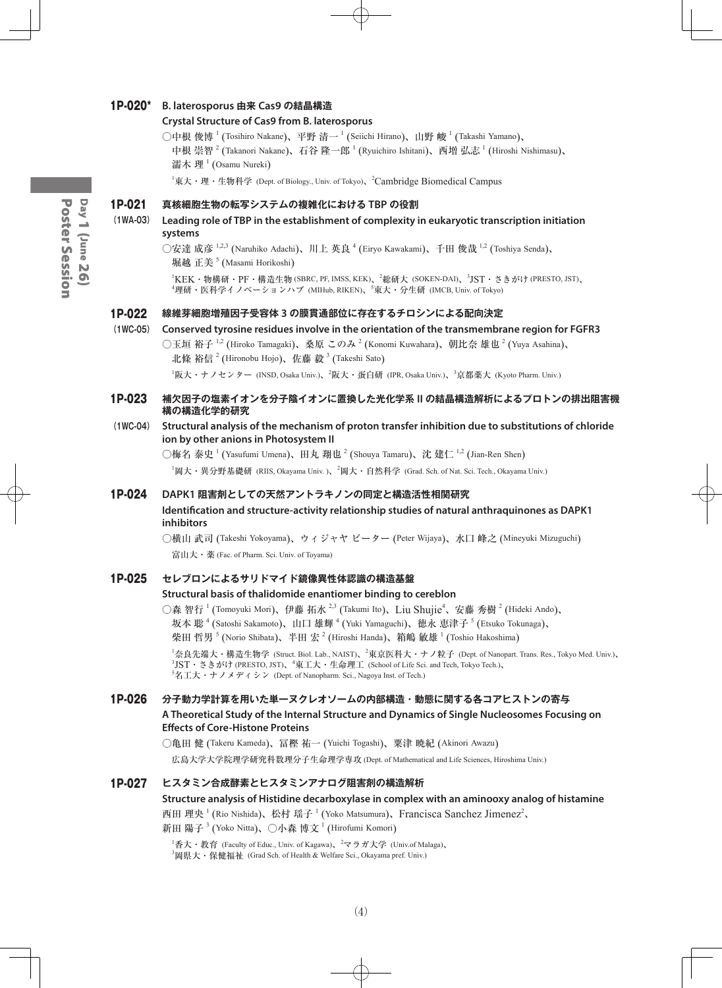#### 1P-020\* **B. laterosporus 由来 Cas9 の結晶構造**

#### **Crystal Structure of Cas9 from B. laterosporus**

○中根 俊博  $^1$  (Tosihiro Nakane)、平野 清一  $^1$  (Seiichi Hirano)、山野 峻  $^1$  (Takashi Yamano)、 中根 崇智  $^2$  (Takanori Nakane)、石谷 隆一郎  $^1$  (Ryuichiro Ishitani)、西増 弘志  $^1$  (Hiroshi Nishimasu)、 濡木 理<sup>1</sup> (Osamu Nureki)

 ${}^{1}\$ 東大・理・生物科学 (Dept. of Biology., Univ. of Tokyo)、 ${}^{2}$ Cambridge Biomedical Campus

#### 1P-021 **真核細胞生物の転写システムの複雑化における TBP の役割**

#### **(1WA-03) Leading role of TBP in the establishment of complexity in eukaryotic transcription initiation systems**

○安達 成彦 <sup>1,2,3</sup> (Naruhiko Adachi)、川上 英良 <sup>4</sup> (Eiryo Kawakami)、千田 俊哉 <sup>1,2</sup> (Toshiya Senda)、 堀越 正美 <sup>5</sup> (Masami Horikoshi)

1 KEK・物構研・PF・構造生物 (SBRC, PF, IMSS, KEK)、<sup>2</sup> 総研大 (SOKEN-DAI)、<sup>3</sup> JST・さきがけ (PRESTO, JST)、 4 理研・医科学イノベーションハブ (MIHub, RIKEN)、<sup>5</sup> 東大・分生研 (IMCB, Univ. of Tokyo)

#### 1P-022 **線維芽細胞増殖因子受容体 3 の膜貫通部位に存在するチロシンによる配向決定**

**(1WC-05) Conserved tyrosine residues involve in the orientation of the transmembrane region for FGFR3**  $\bigcirc$ 玉垣 裕子  $^{1,2}$  (Hiroko Tamagaki)、桑原 このみ  $^2$  (Konomi Kuwahara)、朝比奈 雄也  $^2$  (Yuya Asahina)、 北條 裕信  $^{2}$  (Hironobu Hojo)、佐藤 毅  $^{3}$  (Takeshi Sato)

<sup>1</sup>阪大・ナノセンター (INSD, Osaka Univ.)、<sup>2</sup>阪大・蛋白研 (IPR, Osaka Univ.)、<sup>3</sup>京都薬大 (Kyoto Pharm. Univ.)

#### 1P-023 **補欠因子の塩素イオンを分子陰イオンに置換した光化学系 II の結晶構造解析によるプロトンの排出阻害機 構の構造化学的研究**

#### **(1WC-04) Structural analysis of the mechanism of proton transfer inhibition due to substitutions of chloride ion by other anions in Photosystem II**

○梅名 泰史  $^1$  (Yasufumi Umena)、田丸 翔也  $^2$  (Shouya Tamaru)、沈 建仁  $^{1,2}$  (Jian-Ren Shen) <sup>1</sup>岡大・異分野基礎研 (RIIS, Okayama Univ. )、<sup>2</sup>岡大・自然科学 (Grad. Sch. of Nat. Sci. Tech., Okayama Univ.)

#### 1P-024 **DAPK1 阻害剤としての天然アントラキノンの同定と構造活性相関研究**

# **Identification and structure-activity relationship studies of natural anthraquinones as DAPK1 inhibitors**

○横山 武司 (Takeshi Yokoyama)、ウィジャヤ ピーター (Peter Wijaya)、水口 峰之 (Mineyuki Mizuguchi) 富山大・薬 (Fac. of Pharm. Sci. Univ. of Toyama)

### 1P-025 **セレブロンによるサリドマイド鏡像異性体認識の構造基盤**

#### **Structural basis of thalidomide enantiomer binding to cereblon**

○森 智行 <sup>1</sup> (Tomoyuki Mori)、伊藤 拓水 <sup>2,3</sup> (Takumi Ito)、Liu Shuji $e^4$ 、安藤 秀樹 <sup>2</sup> (Hideki Ando)、 坂本 聡 <sup>4</sup> (Satoshi Sakamoto)、山口 雄輝 <sup>4</sup> (Yuki Yamaguchi)、徳永 恵津子 <sup>5</sup> (Etsuko Tokunaga)、 柴田 哲男  $^5$  (Norio Shibata)、半田 宏  $^2$  (Hiroshi Handa)、箱嶋 敏雄  $^1$  (Toshio Hakoshima)

 $^1$ 奈良先端大・構造生物学 (Struct. Biol. Lab., NAIST)、 $^2$ 東京医科大・ナノ粒子 (Dept. of Nanopart. Trans. Res., Tokyo Med. Univ.)、  $^3\mathrm{JST}\cdot$  さきがけ (PRESTO, JST)、 $^4$ 東工大・生命理工 (School of Life Sci. and Tech, Tokyo Tech.)、  ${}^5$ 名工大・ナノメディシン (Dept. of Nanopharm. Sci., Nagoya Inst. of Tech.)

# 1P-026 **分子動力学計算を用いた単一ヌクレオソームの内部構造・動態に関する各コアヒストンの寄与**

#### **A Theoretical Study of the Internal Structure and Dynamics of Single Nucleosomes Focusing on Effects of Core-Histone Proteins**

○亀田 健 (Takeru Kameda)、冨樫 祐一 (Yuichi Togashi)、粟津 暁紀 (Akinori Awazu)

広島大学大学院理学研究科数理分子生命理学専攻 (Dept. of Mathematical and Life Sciences, Hiroshima Univ.)

#### 1P-027 **ヒスタミン合成酵素とヒスタミンアナログ阻害剤の構造解析**

**Structure analysis of Histidine decarboxylase in complex with an aminooxy analog of histamine** 西田 理央 <sup>1</sup> (Rio Nishida)、松村 瑶子 <sup>1</sup> (Yoko Matsumura)、Francisca Sanchez Jimenez<sup>2</sup>、

新田 陽子  $^3$  (Yoko Nitta)、○小森 博文  $^1$  (Hirofumi Komori)

 $^1$ 香大・教育 (Faculty of Educ., Univ. of Kagawa)、 $^2$ マラガ大学 (Univ.of Malaga)、  $^3$ 岡県大・保健福祉 (Grad Sch. of Health & Welfare Sci., Okayama pref. Univ.)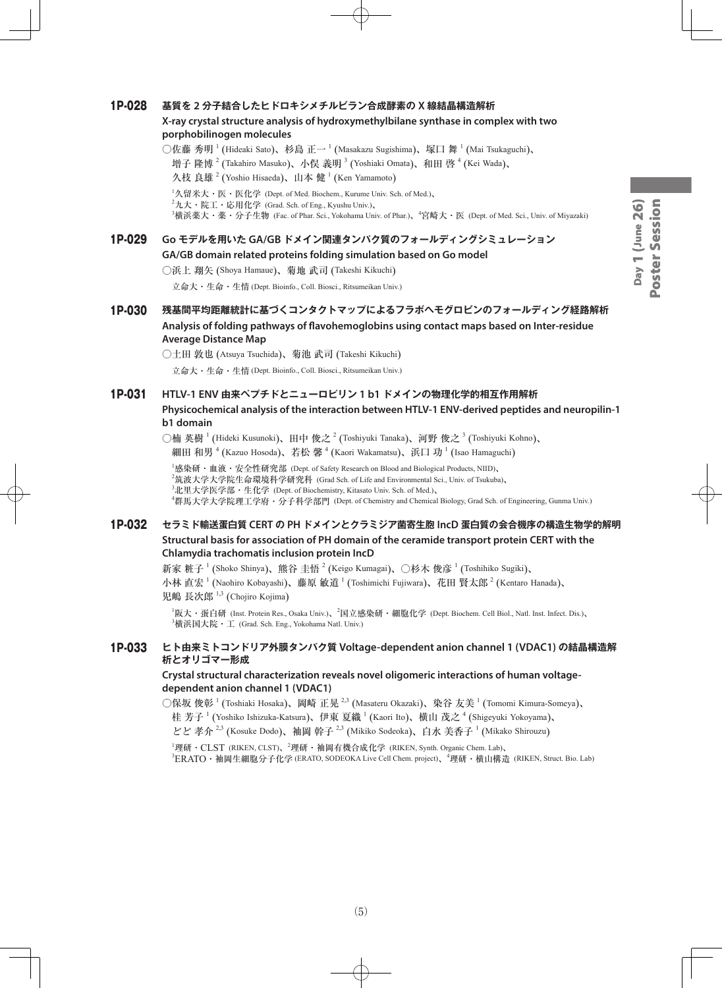# Day 1 (June 26)<br>Poster Session Day 1 (June 26) Poster Session

# 1P-028 **基質を 2 分子結合したヒドロキシメチルビラン合成酵素の X 線結晶構造解析**

#### **X-ray crystal structure analysis of hydroxymethylbilane synthase in complex with two porphobilinogen molecules**

○佐藤 秀明 <sup>1</sup> (Hideaki Sato)、杉島 正一 <sup>1</sup> (Masakazu Sugishima)、塚口 舞 <sup>1</sup> (Mai Tsukaguchi)、 増子 隆博 <sup>2</sup> (Takahiro Masuko)、小俣 義明 <sup>3</sup> (Yoshiaki Omata)、和田 啓 <sup>4</sup> (Kei Wada)、 久枝 良雄<sup>2</sup> (Yoshio Hisaeda)、山本 健<sup>1</sup> (Ken Yamamoto)  $^1$ 久留米大・医・医化学 (Dept. of Med. Biochem., Kurume Univ. Sch. of Med.)、  $^2$ 九大・院工・応用化学 (Grad. Sch. of Eng., Kyushu Univ.)、

<sup>3</sup>横浜薬大・薬・分子生物 (Fac. of Phar. Sci., Yokohama Univ. of Phar.)、<sup>4</sup>宮崎大・医 (Dept. of Med. Sci., Univ. of Miyazaki)

# 1P-029 **Go モデルを用いた GA/GB ドメイン関連タンパク質のフォールディングシミュレーション GA/GB domain related proteins folding simulation based on Go model**

○浜上 翔矢 (Shoya Hamaue)、菊地 武司 (Takeshi Kikuchi)

立命大・生命・生情 (Dept. Bioinfo., Coll. Biosci., Ritsumeikan Univ.)

## 1P-030 **残基間平均距離統計に基づくコンタクトマップによるフラボヘモグロビンのフォールディング経路解析 Analysis of folding pathways of flavohemoglobins using contact maps based on Inter-residue Average Distance Map**

○土田 敦也 (Atsuya Tsuchida)、菊池 武司 (Takeshi Kikuchi)

立命大・生命・生情 (Dept. Bioinfo., Coll. Biosci., Ritsumeikan Univ.)

#### 1P-031 **HTLV-1 ENV 由来ペプチドとニューロピリン 1 b1 ドメインの物理化学的相互作用解析**

**Physicochemical analysis of the interaction between HTLV-1 ENV-derived peptides and neuropilin-1 b1 domain**

○楠 英樹  $^1$  (Hideki Kusunoki)、田中 俊之  $^2$  (Toshiyuki Tanaka)、河野 俊之  $^3$  (Toshiyuki Kohno)、 細田 和男  $^4$  (Kazuo Hosoda)、若松 馨  $^4$  (Kaori Wakamatsu)、浜口 功  $^1$  (Isao Hamaguchi)

1 感染研・血液・安全性研究部 (Dept. of Safety Research on Blood and Biological Products, NIID)、  $^2$ 筑波大学大学院生命環境科学研究科 (Grad Sch. of Life and Environmental Sci., Univ. of Tsukuba)、  $^3$ 北里大学医学部・生化学 (Dept. of Biochemistry, Kitasato Univ. Sch. of Med.)、 4 群馬大学大学院理工学府・分子科学部門 (Dept. of Chemistry and Chemical Biology, Grad Sch. of Engineering, Gunma Univ.)

# 1P-032 **セラミド輸送蛋白質 CERT の PH ドメインとクラミジア菌寄生胞 IncD 蛋白質の会合機序の構造生物学的解明 Structural basis for association of PH domain of the ceramide transport protein CERT with the Chlamydia trachomatis inclusion protein IncD**

新家 粧子  $^1$  (Shoko Shinya)、熊谷 圭悟  $^2$  (Keigo Kumagai)、○杉木 俊彦  $^1$  (Toshihiko Sugiki)、

小林 直宏 <sup>1</sup> (Naohiro Kobayashi)、藤原 敏道 <sup>1</sup> (Toshimichi Fujiwara)、花田 賢太郎 <sup>2</sup> (Kentaro Hanada)、 児嶋 長次郎 1,3 (Chojiro Kojima)

1 阪大・蛋白研 (Inst. Protein Res., Osaka Univ.)、<sup>2</sup> 国立感染研・細胞化学 (Dept. Biochem. Cell Biol., Natl. Inst. Infect. Dis.)、  $^3$ 横浜国大院・工 (Grad. Sch. Eng., Yokohama Natl. Univ.)

#### 1P-033 **ヒト由来ミトコンドリア外膜タンパク質 Voltage-dependent anion channel 1 (VDAC1) の結晶構造解 析とオリゴマー形成**

#### **Crystal structural characterization reveals novel oligomeric interactions of human voltagedependent anion channel 1 (VDAC1)**

○保坂 俊彰 <sup>1</sup> (Toshiaki Hosaka)、岡崎 正晃 <sup>2,3</sup> (Masateru Okazaki)、染谷 友美 <sup>1</sup> (Tomomi Kimura-Someya)、 桂 芳子  $^1$  (Yoshiko Ishizuka-Katsura)、伊東 夏織  $^1$  (Kaori Ito)、横山 茂之  $^4$  (Shigeyuki Yokoyama)、 どど 孝介<sup>2,3</sup> (Kosuke Dodo)、袖岡 幹子<sup>2,3</sup> (Mikiko Sodeoka)、白水 美香子<sup>1</sup> (Mikako Shirouzu)

<sup>1</sup>理研・CLST (RIKEN, CLST)、<sup>2</sup>理研・袖岡有機合成化学 (RIKEN, Synth. Organic Chem. Lab)、  ${\rm ^3ER}$ ATO・袖岡生細胞分子化学 (ERATO, SODEOKA Live Cell Chem. project)、 ${\rm ^4}$ 理研・横山構造 (RIKEN, Struct. Bio. Lab)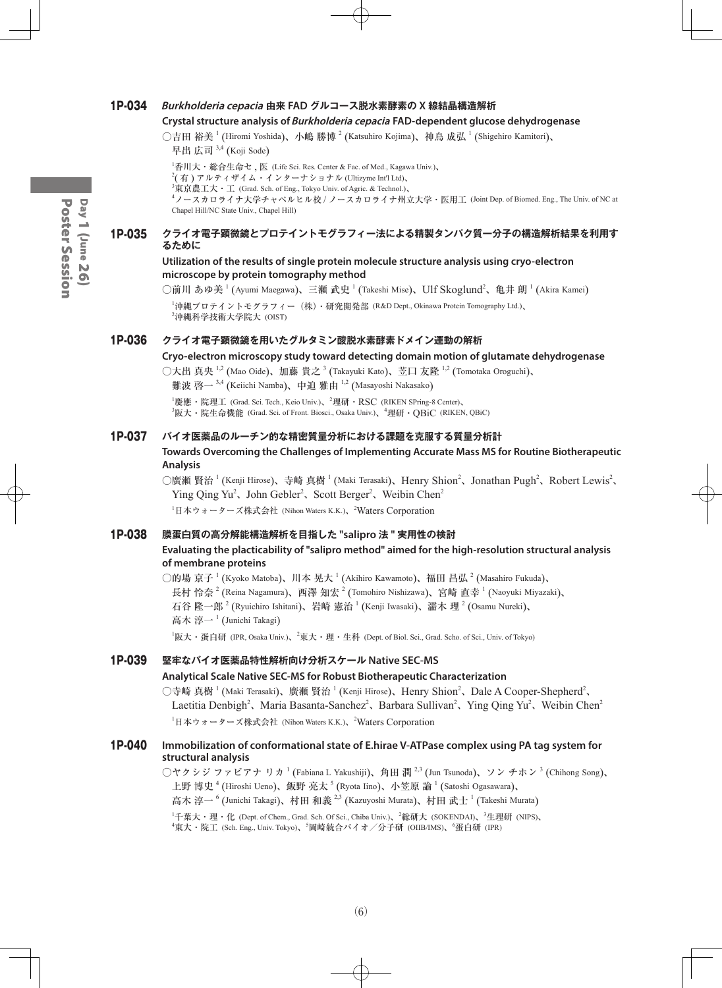## 1P-034 **Burkholderia cepacia 由来 FAD グルコース脱水素酵素の X 線結晶構造解析**

#### **Crystal structure analysis of Burkholderia cepacia FAD-dependent glucose dehydrogenase**

○吉田 裕美  $^1$  (Hiromi Yoshida)、小嶋 勝博  $^2$  (Katsuhiro Kojima)、神鳥 成弘  $^1$  (Shigehiro Kamitori)、 早出 広司<sup>3,4</sup> (Koji Sode)

1 香川大・総合生命セ , 医 (Life Sci. Res. Center & Fac. of Med., Kagawa Univ.)、  $^{2}$ ( 有 ) アルティザイム・インターナショナル (Ultizyme Int'l Ltd)、  $^3$ 東京農工大・工 (Grad. Sch. of Eng., Tokyo Univ. of Agric. & Technol.)、 4 ノースカロライナ大学チャペルヒル校 / ノースカロライナ州立大学・医用工 (Joint Dep. of Biomed. Eng., The Univ. of NC at Chapel Hill/NC State Univ., Chapel Hill)

#### 1P-035 **クライオ電子顕微鏡とプロテイントモグラフィー法による精製タンパク質一分子の構造解析結果を利用す るために**

#### **Utilization of the results of single protein molecule structure analysis using cryo-electron microscope by protein tomography method**

 $\bigcirc$ 前川 あゆ美  $^1$  (Ayumi Maegawa)、三瀬 武史  $^1$  (Takeshi Mise)、Ulf Skoglund $^2$ 、亀井 朗  $^1$  (Akira Kamei)

1 沖縄プロテイントモグラフィー(株)・研究開発部 (R&D Dept., Okinawa Protein Tomography Ltd.)、  ${}^{2}$ 沖縄科学技術大学院大 (OIST)

# 1P-036 **クライオ電子顕微鏡を用いたグルタミン酸脱水素酵素ドメイン運動の解析**

**Cryo-electron microscopy study toward detecting domain motion of glutamate dehydrogenase**

○大出 真央 <sup>1,2</sup> (Mao Oide)、加藤 貴之 <sup>3</sup> (Takayuki Kato)、苙口 友隆 <sup>1,2</sup> (Tomotaka Oroguchi)、 難波 啓一 <sup>3,4</sup> (Keiichi Namba)、中迫 雅由 <sup>1,2</sup> (Masayoshi Nakasako)

 ${}^{1}\mathbf{g}$ 應·院理工 (Grad. Sci. Tech., Keio Univ.)、 ${}^{2}\mathbf{H}$ 研·RSC (RIKEN SPring-8 Center)、  $^3$ 阪大・院生命機能 (Grad. Sci. of Front. Biosci., Osaka Univ.)、 $^4$ 理研・QBiC (RIKEN, QBiC)

#### 1P-037 **バイオ医薬品のルーチン的な精密質量分析における課題を克服する質量分析計**

**Towards Overcoming the Challenges of Implementing Accurate Mass MS for Routine Biotherapeutic Analysis**

○廣瀬 賢治<sup>1</sup> (Kenji Hirose)、寺崎 真樹<sup>1</sup> (Maki Terasaki)、Henry Shion<sup>2</sup>、Jonathan Pugh<sup>2</sup>、Robert Lewis<sup>2</sup>、 Ying Qing Yu<sup>2</sup>, John Gebler<sup>2</sup>, Scott Berger<sup>2</sup>, Weibin Chen<sup>2</sup>

1 日本ウォーターズ株式会社 (Nihon Waters K.K.)、<sup>2</sup> Waters Corporation

#### 1P-038 **膜蛋白質の高分解能構造解析を目指した "salipro 法 " 実用性の検討**

#### **Evaluating the placticability of "salipro method" aimed for the high-resolution structural analysis of membrane proteins**

○的場 京子  $^1$  (Kyoko Matoba)、川本 晃大  $^1$  (Akihiro Kawamoto)、福田 昌弘  $^2$  (Masahiro Fukuda)、 長村 怜奈  $^2$  (Reina Nagamura)、西澤 知宏  $^2$  (Tomohiro Nishizawa)、宮崎 直幸  $^1$  (Naoyuki Miyazaki)、 石谷 隆一郎  $^2$  (Ryuichiro Ishitani)、岩崎 憲治  $^1$  (Kenji Iwasaki)、濡木 理  $^2$  (Osamu Nureki)、 高木 淳一<sup>1</sup> (Junichi Takagi)

 $^1$ 阪大・蛋白研 (IPR, Osaka Univ.)、 $^2$ 東大・理・生科 (Dept. of Biol. Sci., Grad. Scho. of Sci., Univ. of Tokyo)

# 1P-039 **堅牢なバイオ医薬品特性解析向け分析スケール Native SEC-MS**

#### **Analytical Scale Native SEC-MS for Robust Biotherapeutic Characterization**

○寺崎 真樹 <sup>1</sup> (Maki Terasaki)、廣瀬 賢治 <sup>1</sup> (Kenji Hirose)、Henry Shion<sup>2</sup>、Dale A Cooper-Shepherd<sup>2</sup>、 Laetitia Denbigh<sup>2</sup>, Maria Basanta-Sanchez<sup>2</sup>, Barbara Sullivan<sup>2</sup>, Ying Qing Yu<sup>2</sup>, Weibin Chen<sup>2</sup> 1 日本ウォーターズ株式会社 (Nihon Waters K.K.)、<sup>2</sup> Waters Corporation

#### 1P-040 **Immobilization of conformational state of E.hirae V-ATPase complex using PA tag system for structural analysis**

 $\bigcirc$ ヤクシジ ファビアナ リカ  $^1$  (Fabiana L Yakushiji)、角田 潤  $^{2,3}$  (Jun Tsunoda)、ソン チホン  $^3$  (Chihong Song)、 上野 博史 <sup>4</sup> (Hiroshi Ueno)、飯野 亮太 <sup>5</sup> (Ryota Iino)、小笠原 諭 <sup>1</sup> (Satoshi Ogasawara)、 高木 淳一  $^6$  (Junichi Takagi)、村田 和義  $^{2,3}$  (Kazuyoshi Murata)、村田 武士  $^1$  (Takeshi Murata)

<sup>1</sup>千葉大・理・化 (Dept. of Chem., Grad. Sch. Of Sci., Chiba Univ.)、<sup>2</sup>総研大 (SOKENDAI)、<sup>3</sup>生理研 (NIPS)、  ${}^4$ 東大・院工 (Sch. Eng., Univ. Tokyo)、 ${}^5$ 岡崎統合バイオ/分子研 (OIIB/IMS)、 ${}^6$ 蛋白研 (IPR)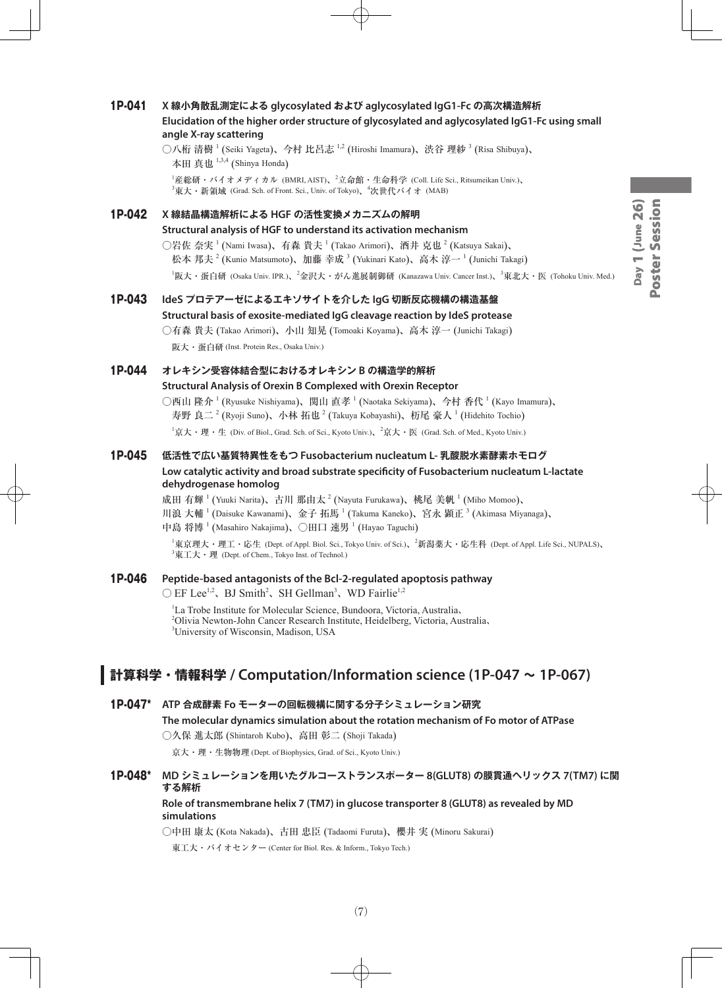# 1P-041 **X 線小角散乱測定による glycosylated および aglycosylated IgG1-Fc の高次構造解析 Elucidation of the higher order structure of glycosylated and aglycosylated IgG1-Fc using small angle X-ray scattering**

○八桁 清樹  $^1$  (Seiki Yageta)、今村 比呂志  $^{1,2}$  (Hiroshi Imamura)、渋谷 理紗  $^3$  (Risa Shibuya)、 本田 真也 <sup>1,3,4</sup> (Shinya Honda)

 $^{\rm l}$ 産総研・バイオメディカル (BMRI, AIST)、 $^{\rm 2}$ 立命館・生命科学 (Coll. Life Sci., Ritsumeikan Univ.)、  $^3$ 東大・新領域 (Grad. Sch. of Front. Sci., Univ. of Tokyo)、 $^4$ 次世代バイオ (MAB)

# 1P-042 **X 線結晶構造解析による HGF の活性変換メカニズムの解明 Structural analysis of HGF to understand its activation mechanism** ○岩佐 奈実  $^1$  (Nami Iwasa)、有森 貴夫  $^1$  (Takao Arimori)、酒井 克也  $^2$  (Katsuya Sakai)、 松本 邦夫  $^2$  (Kunio Matsumoto)、加藤 幸成  $^3$  (Yukinari Kato)、高木 淳一  $^1$  (Junichi Takagi) <sup>1</sup>阪大・蛋白研 (Osaka Univ. IPR.)、<sup>2</sup>金沢大・がん進展制御研 (Kanazawa Univ. Cancer Inst.)、<sup>3</sup>東北大・医 (Tohoku Univ. Med.)

# 1P-043 **IdeS プロテアーゼによるエキソサイトを介した IgG 切断反応機構の構造基盤 Structural basis of exosite-mediated IgG cleavage reaction by IdeS protease** ○有森 貴夫 (Takao Arimori)、小山 知晃 (Tomoaki Koyama)、高木 淳一 (Junichi Takagi)

阪大・蛋白研 (Inst. Protein Res., Osaka Univ.)

# 1P-044 **オレキシン受容体結合型におけるオレキシン B の構造学的解析**

## **Structural Analysis of Orexin B Complexed with Orexin Receptor**

○西山 隆介 <sup>1</sup> (Ryusuke Nishiyama)、関山 直孝 <sup>1</sup> (Naotaka Sekiyama)、今村 香代 <sup>1</sup> (Kayo Imamura)、 寿野 良二  $^2$  (Ryoji Suno)、小林 拓也  $^2$  (Takuya Kobayashi)、杤尾 豪人  $^1$  (Hidehito Tochio)

 $^1$ 京大・理・生 (Div. of Biol., Grad. Sch. of Sci., Kyoto Univ.)、 $^2$ 京大・医 (Grad. Sch. of Med., Kyoto Univ.)

# 1P-045 **低活性で広い基質特異性をもつ Fusobacterium nucleatum L- 乳酸脱水素酵素ホモログ Low catalytic activity and broad substrate specificity of Fusobacterium nucleatum L-lactate dehydrogenase homolog**

成田 有輝 <sup>1</sup> (Yuuki Narita)、古川 那由太 <sup>2</sup> (Nayuta Furukawa)、桃尾 美帆 <sup>1</sup> (Miho Momoo)、

川浪 大輔<sup>1</sup> (Daisuke Kawanami)、金子 拓馬<sup>1</sup> (Takuma Kaneko)、宮永 顕正<sup>3</sup> (Akimasa Miyanaga)、

中島 将博  $^{1}$  (Masahiro Nakajima)、○田口 速男  $^{1}$  (Hayao Taguchi)

1 東京理大・理工・応生 (Dept. of Appl. Biol. Sci., Tokyo Univ. of Sci.)、<sup>2</sup> 新潟薬大・応生科 (Dept. of Appl. Life Sci., NUPALS)、  $^3$ 東工大・理 (Dept. of Chem., Tokyo Inst. of Technol.)

# 1P-046 **Peptide-based antagonists of the Bcl-2-regulated apoptosis pathway**

 $\bigcirc$  EF Lee<sup>1,2</sup>, BJ Smith<sup>2</sup>, SH Gellman<sup>3</sup>, WD Fairlie<sup>1,2</sup>

1 La Trobe Institute for Molecular Science, Bundoora, Victoria, Australia、 2 Olivia Newton-John Cancer Research Institute, Heidelberg, Victoria, Australia、 3 University of Wisconsin, Madison, USA

# **計算科学・情報科学 / Computation/Information science (1P-047 ~ 1P-067)**

1P-047\* **ATP 合成酵素 Fo モーターの回転機構に関する分子シミュレーション研究**

**The molecular dynamics simulation about the rotation mechanism of Fo motor of ATPase**

○久保 進太郎 (Shintaroh Kubo)、高田 彰二 (Shoji Takada)

京大・理・生物物理 (Dept. of Biophysics, Grad. of Sci., Kyoto Univ.)

# 1P-048\* **MD シミュレーションを用いたグルコーストランスポーター 8(GLUT8) の膜貫通ヘリックス 7(TM7) に関 する解析**

#### **Role of transmembrane helix 7 (TM7) in glucose transporter 8 (GLUT8) as revealed by MD simulations**

○中田 康太 (Kota Nakada)、古田 忠臣 (Tadaomi Furuta)、櫻井 実 (Minoru Sakurai)

東工大・バイオセンター (Center for Biol. Res. & Inform., Tokyo Tech.)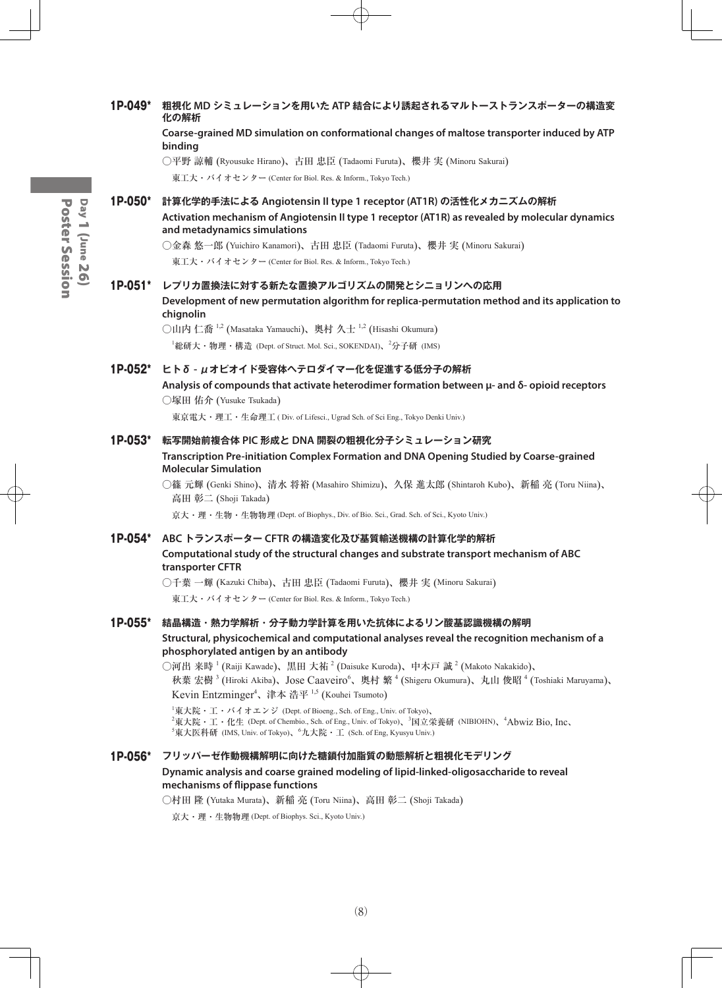**binding**  ○平野 諒輔 (Ryousuke Hirano)、古田 忠臣 (Tadaomi Furuta)、櫻井 実 (Minoru Sakurai) 東工大・バイオセンター (Center for Biol. Res. & Inform., Tokyo Tech.) 1P-050\* **計算化学的手法による Angiotensin II type 1 receptor (AT1R) の活性化メカニズムの解析 Activation mechanism of Angiotensin II type 1 receptor (AT1R) as revealed by molecular dynamics and metadynamics simulations** ○金森 悠一郎 (Yuichiro Kanamori)、古田 忠臣 (Tadaomi Furuta)、櫻井 実 (Minoru Sakurai) 東工大・バイオセンター (Center for Biol. Res. & Inform., Tokyo Tech.) 1P-051\* **レプリカ置換法に対する新たな置換アルゴリズムの開発とシニョリンへの応用 Development of new permutation algorithm for replica-permutation method and its application to chignolin** ○山内 仁喬  $^{1,2}$  (Masataka Yamauchi)、奥村 久士  $^{1,2}$  (Hisashi Okumura) <sup>1</sup>総研大・物理・構造 (Dept. of Struct. Mol. Sci., SOKENDAI)、<sup>2</sup>分子研 (IMS) 1P-052\* **ヒトδ - μオピオイド受容体ヘテロダイマー化を促進する低分子の解析 Analysis of compounds that activate heterodimer formation between μ- and δ- opioid receptors** ○塚田 佑介 (Yusuke Tsukada) 東京電大・理工・生命理工 ( Div. of Lifesci., Ugrad Sch. of Sci Eng., Tokyo Denki Univ.) 1P-053\* **転写開始前複合体 PIC 形成と DNA 開裂の粗視化分子シミュレーション研究 Transcription Pre-initiation Complex Formation and DNA Opening Studied by Coarse-grained Molecular Simulation** ○篠 元輝 (Genki Shino)、清水 将裕 (Masahiro Shimizu)、久保 進太郎 (Shintaroh Kubo)、新稲 亮 (Toru Niina)、 高田 彰二 (Shoji Takada) 京大・理・生物・生物物理 (Dept. of Biophys., Div. of Bio. Sci., Grad. Sch. of Sci., Kyoto Univ.) 1P-054\* **ABC トランスポーター CFTR の構造変化及び基質輸送機構の計算化学的解析 Computational study of the structural changes and substrate transport mechanism of ABC transporter CFTR** ○千葉 一輝 (Kazuki Chiba)、古田 忠臣 (Tadaomi Furuta)、櫻井 実 (Minoru Sakurai) 東工大・バイオセンター (Center for Biol. Res. & Inform., Tokyo Tech.) 1P-055\* **結晶構造・熱力学解析・分子動力学計算を用いた抗体によるリン酸基認識機構の解明 Structural, physicochemical and computational analyses reveal the recognition mechanism of a phosphorylated antigen by an antibody** ◯河出 来時  $^1$  (Raiji Kawade)、黒田 大祐  $^2$  (Daisuke Kuroda)、中木戸 誠  $^2$  (Makoto Nakakido)、 秋葉 宏樹<sup>3</sup> (Hiroki Akiba)、Jose Caaveiro<sup>6</sup>、奥村 繁<sup>4</sup> (Shigeru Okumura)、丸山 俊昭<sup>4</sup> (Toshiaki Maruyama)、 Kevin Entzminger<sup>4</sup>、津本 浩平 <sup>1,5</sup> (Kouhei Tsumoto) 1 東大院・工・バイオエンジ (Dept. of Bioeng., Sch. of Eng., Univ. of Tokyo)、  $^2$ 東大院・工・化生 (Dept. of Chembio., Sch. of Eng., Univ. of Tokyo)、 $^3$ 国立栄養研 (NIBIOHN)、 $^4$ Abwiz Bio, Inc、  $^5$ 東大医科研 (IMS, Univ. of Tokyo)、 $^6$ 九大院・工 (Sch. of Eng, Kyusyu Univ.) 1P-056\* **フリッパーゼ作動機構解明に向けた糖鎖付加脂質の動態解析と粗視化モデリング Dynamic analysis and coarse grained modeling of lipid-linked-oligosaccharide to reveal mechanisms of flippase functions** ○村田 隆 (Yutaka Murata)、新稲 亮 (Toru Niina)、高田 彰二 (Shoji Takada) 京大・理・生物物理 (Dept. of Biophys. Sci., Kyoto Univ.)

1P-049\* **粗視化 MD シミュレーションを用いた ATP 結合により誘起されるマルトーストランスポーターの構造変**

**Coarse-grained MD simulation on conformational changes of maltose transporter induced by ATP** 

**化の解析**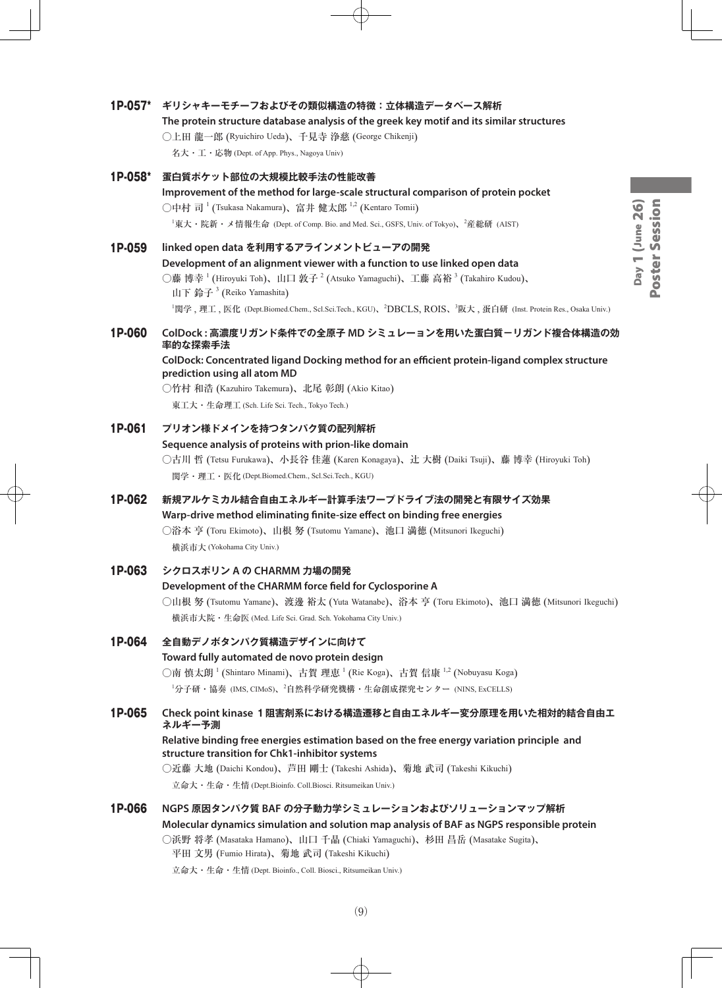# 1P-057\* **ギリシャキーモチーフおよびその類似構造の特徴:立体構造データベース解析**

# **The protein structure database analysis of the greek key motif and its similar structures** ○上田 龍一郎 (Ryuichiro Ueda)、千見寺 浄慈 (George Chikenji)

名大・工・応物 (Dept. of App. Phys., Nagoya Univ)

| 1P-058* | 蛋白質ポケット部位の大規模比較手法の性能改善<br>Improvement of the method for large-scale structural comparison of protein pocket<br>○中村 司 <sup>1</sup> (Tsukasa Nakamura)、富井 健太郎 <sup>1,2</sup> (Kentaro Tomii)<br><sup>1</sup> 東大・院新・メ情報生命 (Dept. of Comp. Bio. and Med. Sci., GSFS, Univ. of Tokyo)、 <sup>2</sup> 産総研 (AIST)                                                                                                                       |
|---------|---------------------------------------------------------------------------------------------------------------------------------------------------------------------------------------------------------------------------------------------------------------------------------------------------------------------------------------------------------------------------------------------------------------------------------|
| 1P-059  | linked open data を利用するアラインメントビューアの開発<br>Development of an alignment viewer with a function to use linked open data<br>○藤 博幸 <sup>1</sup> (Hiroyuki Toh)、山口 敦子 <sup>2</sup> (Atsuko Yamaguchi)、工藤 高裕 <sup>3</sup> (Takahiro Kudou)、<br>山下 鈴子 <sup>3</sup> (Reiko Yamashita)<br><sup>1</sup> 関学, 理工, 医化 (Dept.Biomed.Chem., Scl.Sci.Tech., KGU)、 <sup>2</sup> DBCLS, ROIS、 <sup>3</sup> 阪大, 蛋白研 (Inst. Protein Res., Osaka Univ.) |
| 1P-060  | ColDock : 高濃度リガンド条件での全原子 MD シミュレーョンを用いた蛋白質-リガンド複合体構造の効<br>率的な探索手法<br>ColDock: Concentrated ligand Docking method for an efficient protein-ligand complex structure<br>prediction using all atom MD<br>○竹村 和浩 (Kazuhiro Takemura)、北尾 彰朗 (Akio Kitao)<br>東工大·生命理工 (Sch. Life Sci. Tech., Tokyo Tech.)                                                                                                                             |
| 1P-061  | プリオン様ドメインを持つタンパク質の配列解析<br>Sequence analysis of proteins with prion-like domain<br>○古川 哲 (Tetsu Furukawa)、小長谷 佳蓮 (Karen Konagaya)、辻 大樹 (Daiki Tsuji)、藤 博幸 (Hiroyuki Toh)<br>関学·理工·医化 (Dept.Biomed.Chem., Scl.Sci.Tech., KGU)                                                                                                                                                                                                     |
| 1P-062  | 新規アルケミカル結合自由エネルギー計算手法ワープドライブ法の開発と有限サイズ効果<br>Warp-drive method eliminating finite-size effect on binding free energies<br>○浴本 亨 (Toru Ekimoto)、山根 努 (Tsutomu Yamane)、池口 満徳 (Mitsunori Ikeguchi)<br>横浜市大 (Yokohama City Univ.)                                                                                                                                                                                                    |
| 1P-063  | シクロスポリン A の CHARMM 力場の開発<br>Development of the CHARMM force field for Cyclosporine A<br>○山根 努 (Tsutomu Yamane)、渡邊 裕太 (Yuta Watanabe)、浴本 亨 (Toru Ekimoto)、池口 満徳 (Mitsunori Ikeguchi)<br>横浜市大院・生命医 (Med. Life Sci. Grad. Sch. Yokohama City Univ.)                                                                                                                                                                                |
| 1P-064  | 全自動デノボタンパク質構造デザインに向けて<br>Toward fully automated de novo protein design<br>○南 慎太朗 <sup>1</sup> (Shintaro Minami)、古賀 理恵 <sup>1</sup> (Rie Koga)、古賀 信康 <sup>1,2</sup> (Nobuyasu Koga)<br><sup>1</sup> 分子研・協奏 (IMS, CIMoS)、 <sup>2</sup> 自然科学研究機構・生命創成探究センター (NINS, ExCELLS)                                                                                                                                                        |
| 1P-065  | Check point kinase 1 阻害剤系における構造遷移と自由エネルギー変分原理を用いた相対的結合自由エ<br>ネルギー予測<br>Relative binding free energies estimation based on the free energy variation principle and<br>structure transition for Chk1-inhibitor systems<br>○近藤 大地 (Daichi Kondou)、芦田 剛士 (Takeshi Ashida)、菊地 武司 (Takeshi Kikuchi)<br>立命大·生命·生情 (Dept.Bioinfo. Coll.Biosci. Ritsumeikan Univ.)                                                                       |
| 1P-066  | NGPS 原因タンパク質 BAF の分子動力学シミュレーションおよびソリューションマップ解析<br>Molecular dynamics simulation and solution map analysis of BAF as NGPS responsible protein<br>○浜野 将孝 (Masataka Hamano)、山口 千晶 (Chiaki Yamaguchi)、杉田 昌岳 (Masatake Sugita)、<br>平田 文男 (Fumio Hirata)、菊地 武司 (Takeshi Kikuchi)                                                                                                                                                      |

立命大・生命・生情 (Dept. Bioinfo., Coll. Biosci., Ritsumeikan Univ.)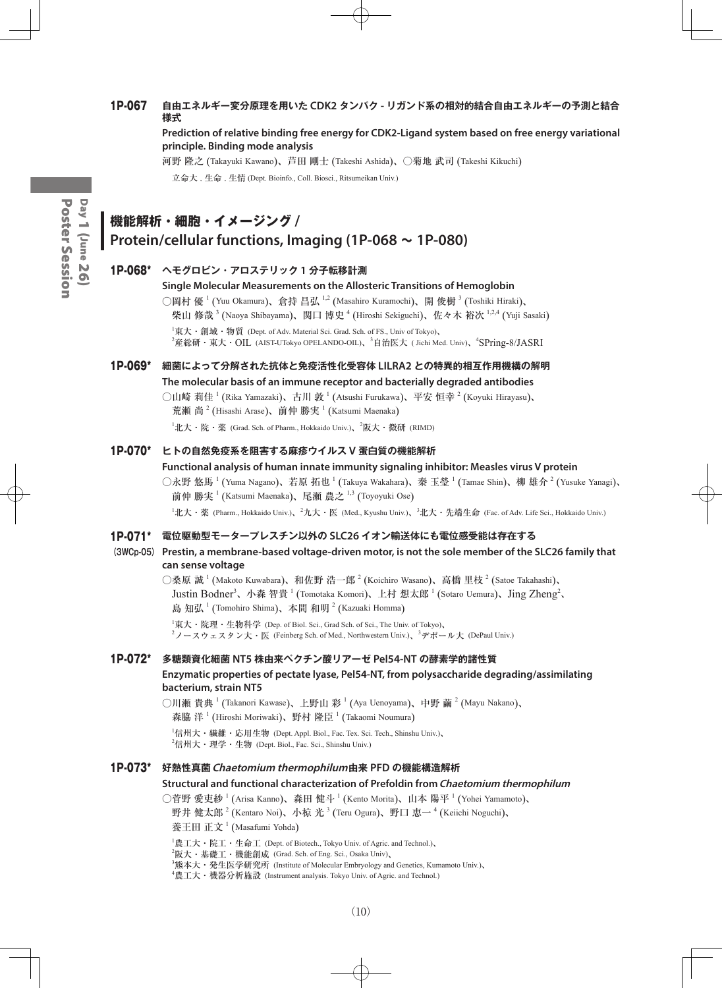# 1P-067 **自由エネルギー変分原理を用いた CDK2 タンパク - リガンド系の相対的結合自由エネルギーの予測と結合 様式**

#### **Prediction of relative binding free energy for CDK2-Ligand system based on free energy variational principle. Binding mode analysis**

河野 隆之 (Takayuki Kawano)、芦田 剛士 (Takeshi Ashida)、○菊地 武司 (Takeshi Kikuchi) 立命大 . 生命 . 生情 (Dept. Bioinfo., Coll. Biosci., Ritsumeikan Univ.)

# **機能解析・細胞・イメージング / Protein/cellular functions, Imaging (1P-068 ~ 1P-080)**

## 1P-068\* **ヘモグロビン・アロステリック 1 分子転移計測**

#### **Single Molecular Measurements on the Allosteric Transitions of Hemoglobin**

○岡村 優  $^1$  (Yuu Okamura)、倉持 昌弘  $^{1,2}$  (Masahiro Kuramochi)、開 俊樹  $^3$  (Toshiki Hiraki)、 柴山 修哉 3 (Naoya Shibayama)、関口 博史 <sup>4</sup> (Hiroshi Sekiguchi)、佐々木 裕次 <sup>1,2,4</sup> (Yuji Sasaki)  ${}^{1}\nexists \mathbf{R} \times \mathbf{R}$   $\mathbf{W}$   $\mathbf{W}$   $\mathbf{W}$  (Dept. of Adv. Material Sci. Grad. Sch. of FS., Univ of Tokyo) <sup>2</sup>産総研・東大・OIL (AIST-UTokyo OPELANDO-OIL)、<sup>3</sup>自治医大 ( Jichi Med. Univ)、<sup>4</sup>SPring-8/JASRI

1P-069\* **細菌によって分解された抗体と免疫活性化受容体 LILRA2 との特異的相互作用機構の解明 The molecular basis of an immune receptor and bacterially degraded antibodies**

> ○山崎 莉佳 <sup>1</sup> (Rika Yamazaki)、古川 敦 <sup>1</sup> (Atsushi Furukawa)、平安 恒幸 <sup>2</sup> (Koyuki Hirayasu)、 荒瀬 尚<sup>2</sup> (Hisashi Arase)、前仲 勝実<sup>1</sup> (Katsumi Maenaka)  $^1$ 北大・院・薬 (Grad. Sch. of Pharm., Hokkaido Univ.)、 $^2$ 阪大・微研 (RIMD)

#### 1P-070\* **ヒトの自然免疫系を阻害する麻疹ウイルス V 蛋白質の機能解析**

#### **Functional analysis of human innate immunity signaling inhibitor: Measles virus V protein**

○永野 悠馬 <sup>1</sup> (Yuma Nagano)、若原 拓也 <sup>1</sup> (Takuya Wakahara)、秦 玉瑩 <sup>1</sup> (Tamae Shin)、柳 雄介 <sup>2</sup> (Yusuke Yanagi)、 前仲 勝実  $^1$  (Katsumi Maenaka)、尾瀬 農之  $^{1,3}$  (Toyoyuki Ose)

 $^1$ 北大・薬 (Pharm., Hokkaido Univ.)、 $^2$ 九大・医 (Med., Kyushu Univ.)、 $^3$ 北大・先端生命 (Fac. of Adv. Life Sci., Hokkaido Univ.)

#### 1P-071\* **電位駆動型モータープレスチン以外の SLC26 イオン輸送体にも電位感受能は存在する**

**(3WCp-05) Prestin, a membrane-based voltage-driven motor, is not the sole member of the SLC26 family that can sense voltage**

○桑原 誠 <sup>1</sup> (Makoto Kuwabara)、和佐野 浩一郎 <sup>2</sup> (Koichiro Wasano)、高橋 里枝 <sup>2</sup> (Satoe Takahashi)、 Justin Bodner<sup>3</sup>、小森 智貴 <sup>1</sup> (Tomotaka Komori)、上村 想太郎 <sup>1</sup> (Sotaro Uemura)、Jing Zheng<sup>2</sup>、 島知弘<sup>1</sup> (Tomohiro Shima)、本間和明<sup>2</sup> (Kazuaki Homma)

 $^{\rm I}$ 東大・院理・生物科学 (Dep. of Biol. Sci., Grad Sch. of Sci., The Univ. of Tokyo)、  $^2$ ノースウェスタン大・医 (Feinberg Sch. of Med., Northwestern Univ.)、 $^3$ デポール大 (DePaul Univ.)

# 1P-072\* **多糖類資化細菌 NT5 株由来ペクチン酸リアーゼ Pel54-NT の酵素学的諸性質 Enzymatic properties of pectate lyase, Pel54-NT, from polysaccharide degrading/assimilating bacterium, strain NT5**

○川瀬 貴典 <sup>1</sup> (Takanori Kawase)、上野山 彩 <sup>1</sup> (Aya Uenoyama)、中野 繭 <sup>2</sup> (Mayu Nakano)、 森脇 洋  $^1$  (Hiroshi Moriwaki)、野村 隆臣  $^1$  (Takaomi Noumura)

 $^1$ 信州大・繊維・応用生物 (Dept. Appl. Biol., Fac. Tex. Sci. Tech., Shinshu Univ.)、  $^2$ 信州大・理学・生物 (Dept. Biol., Fac. Sci., Shinshu Univ.)

#### 1P-073\* **好熱性真菌Chaetomium thermophilum由来 PFD の機能構造解析 Structural and functional characterization of Prefoldin from Chaetomium thermophilum**

○菅野 愛吏紗 <sup>1</sup> (Arisa Kanno)、森田 健斗 <sup>1</sup> (Kento Morita)、山本 陽平 <sup>1</sup> (Yohei Yamamoto)、 野井 健太郎  $^{2}$  (Kentaro Noi)、小椋 光  $^{3}$  (Teru Ogura)、野口 恵一  $^{4}$  (Keiichi Noguchi)、 養王田 正文<sup>1</sup> (Masafumi Yohda)

 $^{1}$ 農工大・院工・生命工 (Dept. of Biotech., Tokyo Univ. of Agric. and Technol.)、  $^2$ 阪大・基礎工・機能創成 (Grad. Sch. of Eng. Sci., Osaka Univ)、  ${}^{3}$ 熊本大・発生医学研究所 (Institute of Molecular Embryology and Genetics, Kumamoto Univ.)、 4 農工大・機器分析施設 (Instrument analysis. Tokyo Univ. of Agric. and Technol.)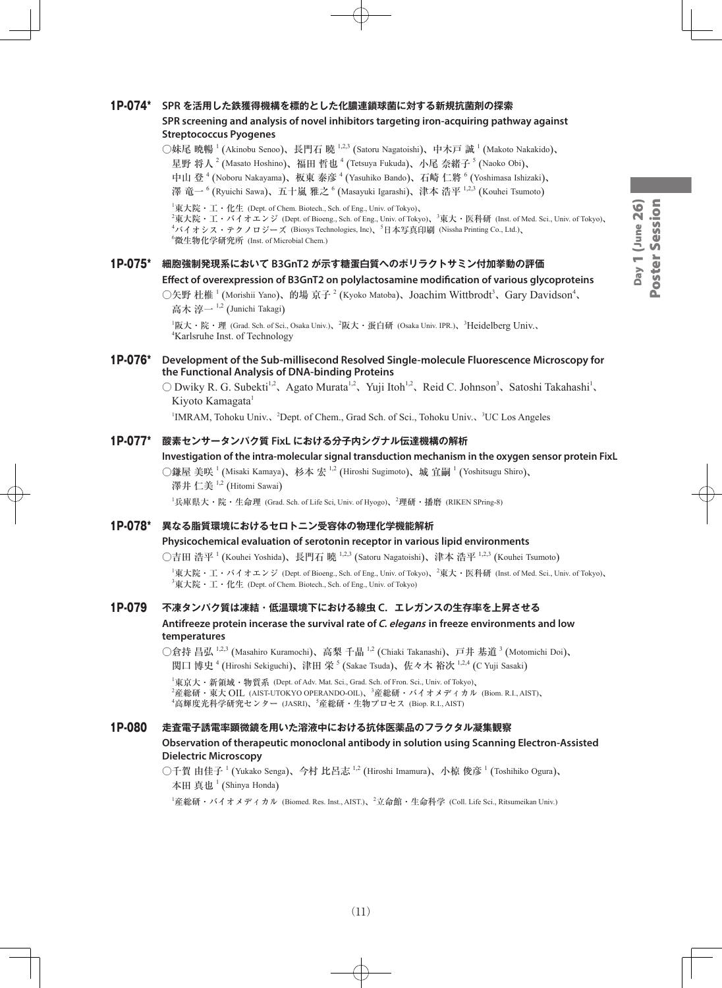## 1P-074\* **SPR を活用した鉄獲得機構を標的とした化膿連鎖球菌に対する新規抗菌剤の探索 SPR screening and analysis of novel inhibitors targeting iron-acquiring pathway against**

# **Streptococcus Pyogenes**

○妹尾 暁暢 <sup>1</sup> (Akinobu Senoo)、長門石 曉 <sup>1,2,3</sup> (Satoru Nagatoishi)、中木戸 誠 <sup>1</sup> (Makoto Nakakido)、 星野 将人  $^2$  (Masato Hoshino)、福田 哲也  $^4$  (Tetsuya Fukuda)、小尾 奈緒子  $^5$  (Naoko Obi)、 中山 登 <sup>4</sup> (Noboru Nakayama)、板東 泰彦 <sup>4</sup> (Yasuhiko Bando)、石崎 仁將 <sup>6</sup> (Yoshimasa Ishizaki)、 澤 竜一 <sup>6</sup> (Ryuichi Sawa)、五十嵐 雅之 <sup>6</sup> (Masayuki Igarashi)、津本 浩平 <sup>1,2,3</sup> (Kouhei Tsumoto)

 ${}^{1}\nexists \mathbf{R} \mathbf{R} \cdot \mathbf{I} \cdot \mathbf{R}$  (Dept. of Chem. Biotech., Sch. of Eng., Univ. of Tokyo)、

 $^2$ 東大院・工・バイオエンジ (Dept. of Bioeng., Sch. of Eng., Univ. of Tokyo)、 $^3$ 東大・医科研 (Inst. of Med. Sci., Univ. of Tokyo)、 <sup>4</sup>バイオシス・テクノロジーズ (Biosys Technologies, Inc)、<sup>5</sup>日本写真印刷 (Nissha Printing Co., Ltd.)、 6 微生物化学研究所 (Inst. of Microbial Chem.)

# 1P-075\* **細胞強制発現系において B3GnT2 が示す糖蛋白質へのポリラクトサミン付加挙動の評価 Effect of overexpression of B3GnT2 on polylactosamine modification of various glycoproteins**

○矢野 杜椎<sup>1</sup> (Morishii Yano)、的場 京子<sup>2</sup> (Kyoko Matoba)、Joachim Wittbrodt<sup>3</sup>、Gary Davidson<sup>4</sup>、 高木 淳一<sup>1,2</sup> (Junichi Takagi)

<sup>1</sup>阪大・院・理 (Grad. Sch. of Sci., Osaka Univ.)、<sup>2</sup>阪大・蛋白研 (Osaka Univ. IPR.)、<sup>3</sup>Heidelberg Univ.、 4 Karlsruhe Inst. of Technology

#### 1P-076\* **Development of the Sub-millisecond Resolved Single-molecule Fluorescence Microscopy for the Functional Analysis of DNA-binding Proteins**

○ Dwiky R. G. Subekti<sup>1,2</sup>、Agato Murata<sup>1,2</sup>、Yuji Itoh<sup>1,2</sup>、Reid C. Johnson<sup>3</sup>、Satoshi Takahashi<sup>1</sup>、 Kiyoto Kamagata<sup>1</sup>

<sup>1</sup>IMRAM, Tohoku Univ.、<sup>2</sup>Dept. of Chem., Grad Sch. of Sci., Tohoku Univ.、<sup>3</sup>UC Los Angeles

#### 1P-077\* **酸素センサータンパク質 FixL における分子内シグナル伝達機構の解析**

#### **Investigation of the intra-molecular signal transduction mechanism in the oxygen sensor protein FixL**

○鎌屋 美咲 <sup>1</sup> (Misaki Kamaya)、杉本 宏 <sup>1,2</sup> (Hiroshi Sugimoto)、城 宜嗣 <sup>1</sup> (Yoshitsugu Shiro)、 澤井 仁美 <sup>1,2</sup> (Hitomi Sawai)

1 兵庫県大・院・生命理 (Grad. Sch. of Life Sci, Univ. of Hyogo)、<sup>2</sup> 理研・播磨 (RIKEN SPring-8)

#### 1P-078\* **異なる脂質環境におけるセロトニン受容体の物理化学機能解析**

#### **Physicochemical evaluation of serotonin receptor in various lipid environments**

○吉田 浩平 <sup>1</sup> (Kouhei Yoshida)、長門石 曉 <sup>1,2,3</sup> (Satoru Nagatoishi)、津本 浩平 <sup>1,2,3</sup> (Kouhei Tsumoto)

 $^1$ 東大院・工・バイオエンジ (Dept. of Bioeng., Sch. of Eng., Univ. of Tokyo)、 $^2$ 東大・医科研 (Inst. of Med. Sci., Univ. of Tokyo)、  ${}^{3}\nexists \mathbf{R} \times \mathbf{E} \cdot \mathbf{I} \cdot \mathbf{R}$  (Dept. of Chem. Biotech., Sch. of Eng., Univ. of Tokyo)

## 1P-079 **不凍タンパク質は凍結・低温環境下における線虫 C.エレガンスの生存率を上昇させる**

#### **Antifreeze protein incerase the survival rate of C. elegans in freeze environments and low temperatures**

○倉持 昌弘 <sup>1,2,3</sup> (Masahiro Kuramochi)、高梨 千晶 <sup>1,2</sup> (Chiaki Takanashi)、戸井 基道 <sup>3</sup> (Motomichi Doi)、 関口 博史 <sup>4</sup> (Hiroshi Sekiguchi)、津田 栄 <sup>5</sup> (Sakae Tsuda)、佐々木 裕次 <sup>1,2,4</sup> (C Yuji Sasaki)

1 東京大・新領域・物質系 (Dept. of Adv. Mat. Sci., Grad. Sch. of Fron. Sci., Univ. of Tokyo)、  $^2$ 産総研・東大 OIL (AIST-UTOKYO OPERANDO-OIL)、 $^3$ 産総研・バイオメディカル (Biom. R.I., AIST)、 4 高輝度光科学研究センター (JASRI)、<sup>5</sup> 産総研・生物プロセス (Biop. R.I., AIST)

#### 1P-080 **走査電子誘電率顕微鏡を用いた溶液中における抗体医薬品のフラクタル凝集観察**

#### **Observation of therapeutic monoclonal antibody in solution using Scanning Electron-Assisted Dielectric Microscopy**

○千賀 由佳子 <sup>1</sup> (Yukako Senga)、今村 比呂志 <sup>1,2</sup> (Hiroshi Imamura)、小椋 俊彦 <sup>1</sup> (Toshihiko Ogura)、 本田 真也  $^1$  (Shinya Honda)

 $^1$ 産総研・バイオメディカル (Biomed. Res. Inst., AIST.)、 $^2$ 立命館・生命科学 (Coll. Life Sci., Ritsumeikan Univ.)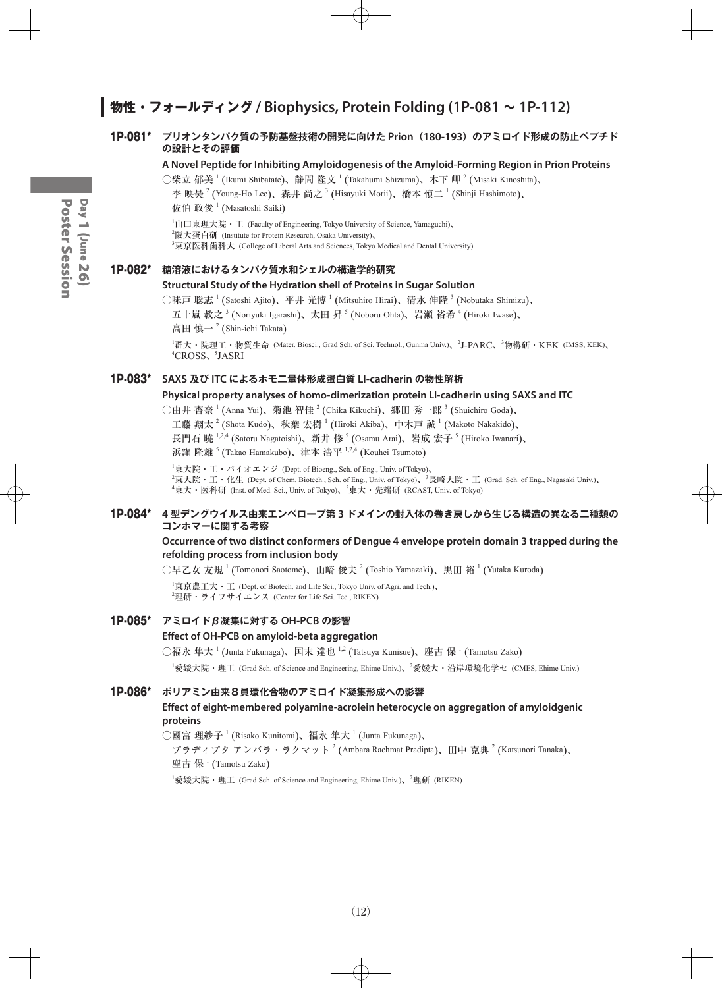# **物性・フォールディング / Biophysics, Protein Folding (1P-081 ~ 1P-112)**

#### 1P-081\* **プリオンタンパク質の予防基盤技術の開発に向けた Prion(180-193)のアミロイド形成の防止ペプチド の設計とその評価**

#### **A Novel Peptide for Inhibiting Amyloidogenesis of the Amyloid-Forming Region in Prion Proteins**

○柴立 郁美  $^1$  (Ikumi Shibatate)、静間 隆文  $^1$  (Takahumi Shizuma)、木下 岬  $^2$  (Misaki Kinoshita)、 李 映昊  $^2$  (Young-Ho Lee)、森井 尚之  $^3$  (Hisayuki Morii)、橋本 慎二  $^1$  (Shinji Hashimoto)、 佐伯 政俊  $^1$  (Masatoshi Saiki)

 ${}^{1}\text{1}\Pi$  東理大院・工 (Faculty of Engineering, Tokyo University of Science, Yamaguchi)、

 $^{2}$ 阪大蛋白研 (Institute for Protein Research, Osaka University)、

 $^3$ 東京医科歯科大 (College of Liberal Arts and Sciences, Tokyo Medical and Dental University)

#### 1P-082\* **糖溶液におけるタンパク質水和シェルの構造学的研究**

#### **Structural Study of the Hydration shell of Proteins in Sugar Solution**

○味戸 聡志  $^1$  (Satoshi Ajito)、平井 光博  $^1$  (Mitsuhiro Hirai)、清水 伸隆  $^3$  (Nobutaka Shimizu)、 五十嵐 教之  $^3$  (Noriyuki Igarashi)、太田 昇  $^5$  (Noboru Ohta)、岩瀬 裕希  $^4$  (Hiroki Iwase)、

高田 慎一<sup>2</sup> (Shin-ichi Takata)

<sup>1</sup>群大・院理工・物質生命 (Mater. Biosci., Grad Sch. of Sci. Technol., Gunma Univ.)、<sup>2</sup>J-PARC、<sup>3</sup>物構研・KEK (IMSS, KEK)、 4 CROSS、<sup>5</sup> JASRI

#### 1P-083\* **SAXS 及び ITC によるホモ二量体形成蛋白質 LI-cadherin の物性解析**

#### **Physical property analyses of homo-dimerization protein LI-cadherin using SAXS and ITC**

○由井 杏奈  $^1$  (Anna Yui)、菊池 智佳  $^2$  (Chika Kikuchi)、郷田 秀一郎  $^3$  (Shuichiro Goda)、

工藤 翔太  $^2$  (Shota Kudo)、秋葉 宏樹 ' (Hiroki Akiba)、中木戸 誠 ' (Makoto Nakakido)、

長門石 曉 <sup>1,2,4</sup> (Satoru Nagatoishi)、新井 修 <sup>5</sup> (Osamu Arai)、岩成 宏子 <sup>5</sup> (Hiroko Iwanari)、

浜窪 隆雄 <sup>5</sup> (Takao Hamakubo)、津本 浩平 <sup>1,2,4</sup> (Kouhei Tsumoto)

 $^{\rm 1}$ 東大院・工・バイオエンジ (Dept. of Bioeng., Sch. of Eng., Univ. of Tokyo)、  $^2$ 東大院・工・化生 (Dept. of Chem. Biotech., Sch. of Eng., Univ. of Tokyo)、 $^3$ 長崎大院・工 (Grad. Sch. of Eng., Nagasaki Univ.)、 <sup>4</sup>東大・医科研 (Inst. of Med. Sci., Univ. of Tokyo)、<sup>5</sup>東大・先端研 (RCAST, Univ. of Tokyo)

#### 1P-084\* **4 型デングウイルス由来エンベロープ第 3 ドメインの封入体の巻き戻しから生じる構造の異なる二種類の コンホマーに関する考察**

#### **Occurrence of two distinct conformers of Dengue 4 envelope protein domain 3 trapped during the refolding process from inclusion body**

 $\bigcirc$ 早乙女 友規  $^1$  (Tomonori Saotome)、山崎 俊夫  $^2$  (Toshio Yamazaki)、黒田 裕  $^1$  (Yutaka Kuroda)

 $^1$ 東京農工大・工 (Dept. of Biotech. and Life Sci., Tokyo Univ. of Agri. and Tech.)、  $^{2}$ 理研・ライフサイエンス (Center for Life Sci. Tec., RIKEN)

# 1P-085\* **アミロイドβ凝集に対する OH-PCB の影響**

#### **Effect of OH-PCB on amyloid-beta aggregation**

○福永 隼大  $^1$  (Junta Fukunaga)、国末 達也  $^{1,2}$  (Tatsuya Kunisue)、座古 保  $^1$  (Tamotsu Zako)

<sup>1</sup>愛媛大院・理工 (Grad Sch. of Science and Engineering, Ehime Univ.)、<sup>2</sup>愛媛大・沿岸環境化学セ (CMES, Ehime Univ.)

#### 1P-086\* **ポリアミン由来8員環化合物のアミロイド凝集形成への影響**

#### **Effect of eight-membered polyamine-acrolein heterocycle on aggregation of amyloidgenic proteins**

○國富 理紗子  $^1$  (Risako Kunitomi)、福永 隼大  $^1$  (Junta Fukunaga)、

プラディプタ アンバラ・ラクマット  $^2$  (Ambara Rachmat Pradipta)、田中 克典  $^2$  (Katsunori Tanaka)、 座古 保  $^1$  (Tamotsu Zako)

<sup>1</sup>愛媛大院・理工 (Grad Sch. of Science and Engineering, Ehime Univ.)、<sup>2</sup>理研 (RIKEN)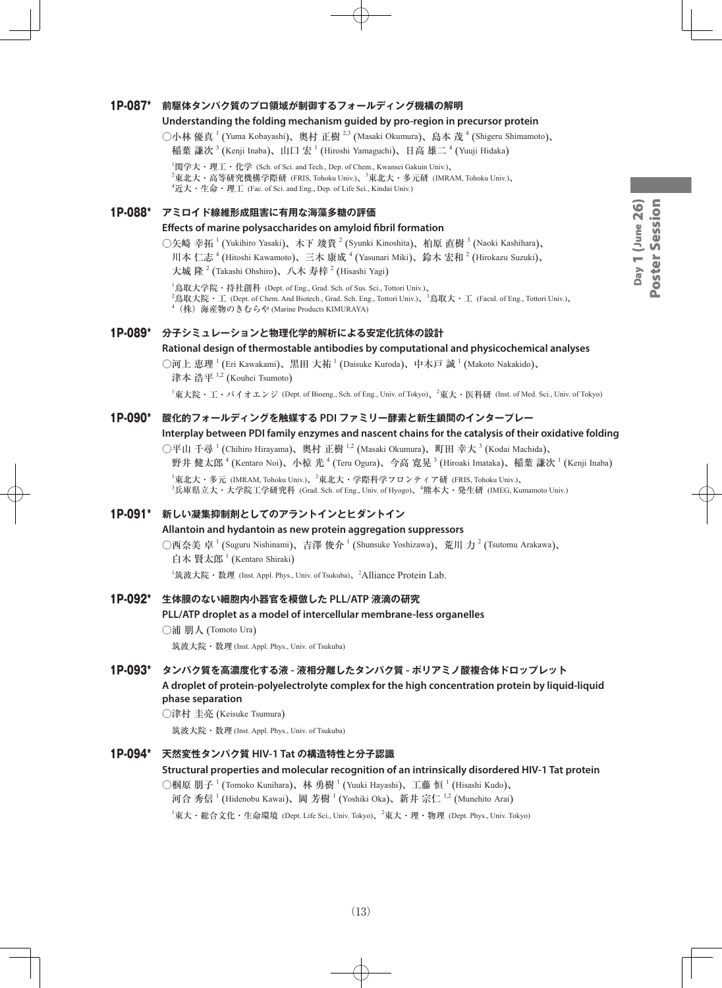#### 1P-087\* **前駆体タンパク質のプロ領域が制御するフォールディング機構の解明**

#### **Understanding the folding mechanism guided by pro-region in precursor protein**

○小林 優真 <sup>1</sup> (Yuma Kobayashi)、奥村 正樹 <sup>2,3</sup> (Masaki Okumura)、島本 茂 <sup>4</sup> (Shigeru Shimamoto)、 稲葉 謙次 <sup>3</sup> (Kenji Inaba)、山口 宏 <sup>1</sup> (Hiroshi Yamaguchi)、日高 雄二 <sup>4</sup> (Yuuji Hidaka)

 $^1$ 関学大・理工・化学 (Sch. of Sci. and Tech., Dep. of Chem., Kwansei Gakuin Univ.)、 <sup>2</sup>東北大・高等研究機構学際研 (FRIS, Tohoku Univ.)、<sup>3</sup>東北大・多元研 (IMRAM, Tohoku Univ.)、  ${}^4$ 近大・生命・理工 (Fac. of Sci. and Eng., Dep. of Life Sci., Kindai Univ.)

#### 1P-088\* **アミロイド線維形成阻害に有用な海藻多糖の評価**

#### **Effects of marine polysaccharides on amyloid fibril formation**

○矢崎 幸拓 <sup>1</sup> (Yukihiro Yasaki)、木下 竣貴 <sup>2</sup> (Syunki Kinoshita)、柏原 直樹 <sup>3</sup> (Naoki Kashihara)、 川本 仁志 <sup>4</sup> (Hitoshi Kawamoto)、三木 康成 <sup>4</sup> (Yasunari Miki)、鈴木 宏和 <sup>2</sup> (Hirokazu Suzuki)、

大城 隆  $^{2}$  (Takashi Ohshiro)、八木 寿梓  $^{2}$  (Hisashi Yagi)

 $^{\rm 1}$ 鳥取大学院・持社創科 (Dept. of Eng., Grad. Sch. of Sus. Sci., Tottori Univ.)、

2 鳥取大院・工 (Dept. of Chem. And Biotech., Grad. Sch. Eng., Tottori Univ.)、<sup>3</sup> 鳥取大・工 (Facul. of Eng., Tottori Univ.)、

4 (株)海産物のきむらや (Marine Products KIMURAYA)

# 1P-089\* **分子シミュレーションと物理化学的解析による安定化抗体の設計**

**Rational design of thermostable antibodies by computational and physicochemical analyses**

◯河上 恵理  $^1$  (Eri Kawakami)、黒田 大祐  $^1$  (Daisuke Kuroda)、中木戸 誠  $^1$  (Makoto Nakakido)、 津本 浩平 <sup>1,2</sup> (Kouhei Tsumoto)

 $^1$ 東大院・工・バイオエンジ (Dept. of Bioeng., Sch. of Eng., Univ. of Tokyo)、 $^2$ 東大・医科研 (Inst. of Med. Sci., Univ. of Tokyo)

#### 1P-090\* **酸化的フォールディングを触媒する PDI ファミリー酵素と新生鎖間のインタープレー**

**Interplay between PDI family enzymes and nascent chains for the catalysis of their oxidative folding**  ○平山 千尋 <sup>1</sup> (Chihiro Hirayama)、奥村 正樹 <sup>1,2</sup> (Masaki Okumura)、町田 幸大 <sup>3</sup> (Kodai Machida)、

野井 健太郎  $^4$  (Kentaro Noi)、小椋 光  $^4$  (Teru Ogura)、今高 寛晃  $^3$  (Hiroaki Imataka)、稲葉 謙次  $^1$  (Kenji Inaba)  $^{\rm 1}$ 東北大・多元 (IMRAM, Tohoku Univ.)、 $^{\rm 2}$ 東北大・学際科学フロンティア研 (FRIS, Tohoku Univ.)、

3 兵庫県立大・大学院工学研究科 (Grad. Sch. of Eng., Univ. of Hyogo)、<sup>4</sup> 熊本大・発生研 (IMEG, Kumamoto Univ.)

#### 1P-091\* **新しい凝集抑制剤としてのアラントインとヒダントイン**

#### **Allantoin and hydantoin as new protein aggregation suppressors**

○西奈美 卓 <sup>1</sup> (Suguru Nishinami)、吉澤 俊介 <sup>1</sup> (Shunsuke Yoshizawa)、荒川 力 <sup>2</sup> (Tsutomu Arakawa)、 白木 賢太郎 <sup>1</sup> (Kentaro Shiraki)

<sup>1</sup>筑波大院・数理 (Inst. Appl. Phys., Univ. of Tsukuba)、<sup>2</sup>Alliance Protein Lab.

#### 1P-092\* **生体膜のない細胞内小器官を模倣した PLL/ATP 液滴の研究**

#### **PLL/ATP droplet as a model of intercellular membrane-less organelles**

○浦 朋人 (Tomoto Ura)

筑波大院・数理 (Inst. Appl. Phys., Univ. of Tsukuba)

#### 1P-093\* **タンパク質を高濃度化する液 - 液相分離したタンパク質 - ポリアミノ酸複合体ドロップレット**

**A droplet of protein-polyelectrolyte complex for the high concentration protein by liquid-liquid phase separation**

○津村 圭亮 (Keisuke Tsumura)

筑波大院・数理 (Inst. Appl. Phys., Univ. of Tsukuba)

#### 1P-094\* **天然変性タンパク質 HIV-1 Tat の構造特性と分子認識**

#### **Structural properties and molecular recognition of an intrinsically disordered HIV-1 Tat protein**

○椢原 朋子  $^1$  (Tomoko Kunihara)、林 勇樹  $^1$  (Yuuki Hayashi)、工藤 恒  $^1$  (Hisashi Kudo)、

河合 秀信  $^1$  (Hidenobu Kawai)、岡 芳樹  $^1$  (Yoshiki Oka)、新井 宗仁  $^{1,2}$  (Munehito Arai)

 $^{\rm 1}$ 東大・総合文化・生命環境 (Dept. Life Sci., Univ. Tokyo)、 $^{\rm 2}$ 東大・理・物理 (Dept. Phys., Univ. Tokyo)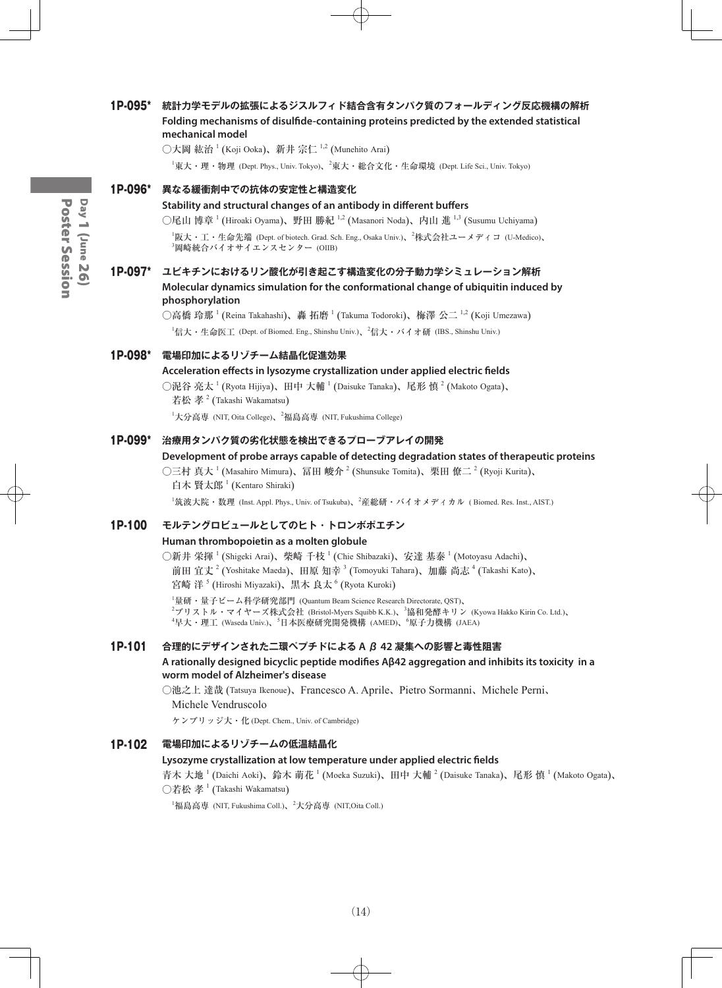# 1P-095\* **統計力学モデルの拡張によるジスルフィド結合含有タンパク質のフォールディング反応機構の解析 Folding mechanisms of disulfide-containing proteins predicted by the extended statistical mechanical model** ○大岡 紘治  $^1$  (Koji Ooka)、新井 宗仁  $^{1,2}$  (Munehito Arai)  $^{\rm 1}$ 東大・理・物理 (Dept. Phys., Univ. Tokyo)、 $^{\rm 2}$ 東大・総合文化・生命環境 (Dept. Life Sci., Univ. Tokyo) 1P-096\* **異なる緩衝剤中での抗体の安定性と構造変化 Stability and structural changes of an antibody in different buffers** ○尾山 博章 <sup>1</sup> (Hiroaki Oyama)、野田 勝紀 <sup>1,2</sup> (Masanori Noda)、内山 進 <sup>1,3</sup> (Susumu Uchiyama) 1 阪大・工・生命先端 (Dept. of biotech. Grad. Sch. Eng., Osaka Univ.)、<sup>2</sup> 株式会社ユーメディコ (U-Medico)、 3 岡崎統合バイオサイエンスセンター (OIIB) 1P-097\* **ユビキチンにおけるリン酸化が引き起こす構造変化の分子動力学シミュレーション解析 Molecular dynamics simulation for the conformational change of ubiquitin induced by phosphorylation** ○高橋 玲那  $^1$  (Reina Takahashi)、轟 拓磨  $^1$  (Takuma Todoroki)、梅澤 公二  $^{1,2}$  (Koji Umezawa)  $^1$ 信大・生命医工 (Dept. of Biomed. Eng., Shinshu Univ.)、 $^2$ 信大・バイオ研 (IBS., Shinshu Univ.) 1P-098\* **電場印加によるリゾチーム結晶化促進効果 Acceleration effects in lysozyme crystallization under applied electric fields** ○泥谷 亮太  $^1$  (Ryota Hijiya)、田中 大輔  $^1$  (Daisuke Tanaka)、尾形 慎  $^2$  (Makoto Ogata)、 若松 孝  $^2$  (Takashi Wakamatsu) <sup>1</sup>大分高専 (NIT, Oita College)、<sup>2</sup>福島高専 (NIT, Fukushima College) 1P-099\* **治療用タンパク質の劣化状態を検出できるプローブアレイの開発 Development of probe arrays capable of detecting degradation states of therapeutic proteins** ○三村 真大 <sup>1</sup> (Masahiro Mimura)、冨田 峻介 <sup>2</sup> (Shunsuke Tomita)、栗田 僚二 <sup>2</sup> (Ryoji Kurita)、 白木 賢太郎 <sup>1</sup> (Kentaro Shiraki) <sup>1</sup>筑波大院・数理 (Inst. Appl. Phys., Univ. of Tsukuba)、<sup>2</sup>産総研・バイオメディカル ( Biomed. Res. Inst., AIST.) 1P-100 **モルテングロビュールとしてのヒト・トロンボポエチン Human thrombopoietin as a molten globule** ○新井 栄揮  $^1$  (Shigeki Arai)、柴崎 千枝  $^1$  (Chie Shibazaki)、安達 基泰  $^1$  (Motoyasu Adachi)、 前田 宜丈  $^2$  (Yoshitake Maeda)、田原 知幸  $^3$  (Tomoyuki Tahara)、加藤 尚志  $^4$  (Takashi Kato)、 宮崎 洋  $^5$  (Hiroshi Miyazaki)、黒木 良太  $^6$  (Ryota Kuroki) 1 量研・量子ビーム科学研究部門 (Quantum Beam Science Research Directorate, QST)、 <sup>2</sup>ブリストル・マイヤーズ株式会社 (Bristol-Myers Squibb K.K.)、<sup>3</sup>協和発酵キリン (Kyowa Hakko Kirin Co. Ltd.)、 <sup>4</sup>早大・理工 (Waseda Univ.)、<sup>5</sup>日本医療研究開発機構 (AMED)、<sup>6</sup>原子力機構 (JAEA) 1P-101 **合理的にデザインされた二環ペプチドによる A β 42 凝集への影響と毒性阻害 A rationally designed bicyclic peptide modifies Aβ42 aggregation and inhibits its toxicity in a worm model of Alzheimer's disease** ○池之上 達哉 (Tatsuya Ikenoue)、Francesco A. Aprile、Pietro Sormanni、Michele Perni、 Michele Vendruscolo ケンブリッジ大・化 (Dept. Chem., Univ. of Cambridge) 1P-102 **電場印加によるリゾチームの低温結晶化 Lysozyme crystallization at low temperature under applied electric fields** 青木 大地  $^1$  (Daichi Aoki)、鈴木 萌花  $^1$  (Moeka Suzuki)、田中 大輔  $^2$  (Daisuke Tanaka)、尾形 慎  $^1$  (Makoto Ogata)、  $\bigcirc$ 若松 孝  $^1$  (Takashi Wakamatsu)  $^1$ 福島高専 (NIT, Fukushima Coll.)、 $^2$ 大分高専 (NIT,Oita Coll.)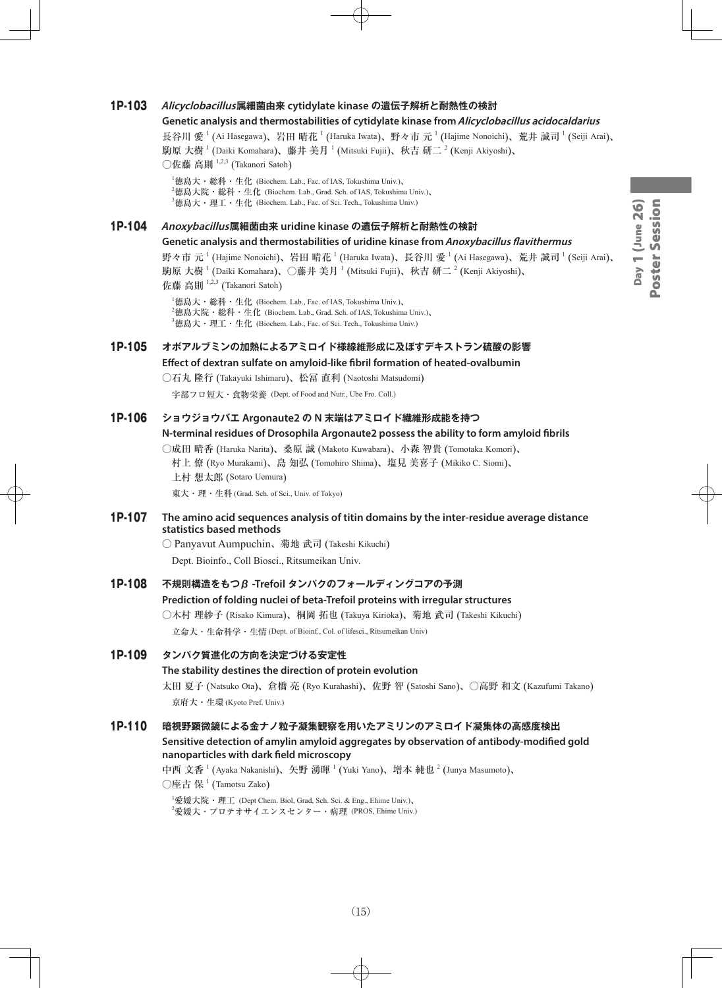# Day 1 (June 26)<br>Poster Session Day 1 (June 26) Poster Session

# 1P-103 **Alicyclobacillus属細菌由来 cytidylate kinase の遺伝子解析と耐熱性の検討**

#### **Genetic analysis and thermostabilities of cytidylate kinase from Alicyclobacillus acidocaldarius**

長谷川 愛  $^1$  (Ai Hasegawa)、岩田 晴花  $^1$  (Haruka Iwata)、野々市 元  $^1$  (Hajime Nonoichi)、荒井 誠司  $^1$  (Seiji Arai)、 駒原 大樹  $^1$  (Daiki Komahara)、藤井 美月  $^1$  (Mitsuki Fujii)、秋吉 研二  $^2$  (Kenji Akiyoshi)、  $\bigcirc$ 佐藤 高則  $^{1,2,3}$  (Takanori Satoh)

1 徳島大・総科・生化 (Biochem. Lab., Fac. of IAS, Tokushima Univ.)、  $^2$ 徳島大院・総科・生化 (Biochem. Lab., Grad. Sch. of IAS, Tokushima Univ.)、  $^3$ 徳島大・理工・生化 (Biochem. Lab., Fac. of Sci. Tech., Tokushima Univ.)

1P-104 **Anoxybacillus属細菌由来 uridine kinase の遺伝子解析と耐熱性の検討**

#### **Genetic analysis and thermostabilities of uridine kinase from Anoxybacillus flavithermus**

野々市 元  $^1$  (Hajime Nonoichi)、岩田 晴花  $^1$  (Haruka Iwata)、長谷川 愛  $^1$  (Ai Hasegawa)、荒井 誠司  $^1$  (Seiji Arai)、 駒原 大樹  $^1$  (Daiki Komahara)、○藤井 美月  $^1$  (Mitsuki Fujii)、秋吉 研二  $^2$  (Kenji Akiyoshi)、 佐藤 高則 1,2,3 (Takanori Satoh)

1 徳島大・総科・生化 (Biochem. Lab., Fac. of IAS, Tokushima Univ.)、  $^2$ 徳島大院・総科・生化 (Biochem. Lab., Grad. Sch. of IAS, Tokushima Univ.)、  $^3$ 徳島大・理工・生化 (Biochem. Lab., Fac. of Sci. Tech., Tokushima Univ.)

# 1P-105 **オボアルブミンの加熱によるアミロイド様線維形成に及ぼすデキストラン硫酸の影響**

**Effect of dextran sulfate on amyloid-like fibril formation of heated-ovalbumin**

○石丸 隆行 (Takayuki Ishimaru)、松冨 直利 (Naotoshi Matsudomi)

宇部フロ短大・食物栄養 (Dept. of Food and Nutr., Ube Fro. Coll.)

1P-106 **ショウジョウバエ Argonaute2 の N 末端はアミロイド繊維形成能を持つ**

#### **N-terminal residues of Drosophila Argonaute2 possess the ability to form amyloid fibrils**

○成田 晴香 (Haruka Narita)、桑原 誠 (Makoto Kuwabara)、小森 智貴 (Tomotaka Komori)、 村上 僚 (Ryo Murakami)、島 知弘 (Tomohiro Shima)、塩見 美喜子 (Mikiko C. Siomi)、 上村 想太郎 (Sotaro Uemura)

東大・理・生科 (Grad. Sch. of Sci., Univ. of Tokyo)

#### 1P-107 **The amino acid sequences analysis of titin domains by the inter-residue average distance statistics based methods**

○ Panyavut Aumpuchin、菊地 武司 (Takeshi Kikuchi) Dept. Bioinfo., Coll Biosci., Ritsumeikan Univ.

1P-108 **不規則構造をもつβ -Trefoil タンパクのフォールディングコアの予測**

#### **Prediction of folding nuclei of beta-Trefoil proteins with irregular structures**

○木村 理紗子 (Risako Kimura)、桐岡 拓也 (Takuya Kirioka)、菊地 武司 (Takeshi Kikuchi) 立命大・生命科学・生情 (Dept. of Bioinf., Col. of lifesci., Ritsumeikan Univ)

#### 1P-109 **タンパク質進化の方向を決定づける安定性**

#### **The stability destines the direction of protein evolution**

太田 夏子 (Natsuko Ota)、倉橋 亮 (Ryo Kurahashi)、佐野 智 (Satoshi Sano)、○高野 和文 (Kazufumi Takano) 京府大・生環 (Kyoto Pref. Univ.)

1P-110 **暗視野顕微鏡による金ナノ粒子凝集観察を用いたアミリンのアミロイド凝集体の高感度検出**

**Sensitive detection of amylin amyloid aggregates by observation of antibody-modified gold nanoparticles with dark field microscopy**

中西 文香 <sup>1</sup> (Ayaka Nakanishi)、矢野 湧暉 <sup>1</sup> (Yuki Yano)、増本 純也 <sup>2</sup> (Junya Masumoto)、  $\bigcirc$ 座古 保 $^1$  (Tamotsu Zako)

1 愛媛大院・理工 (Dept Chem. Biol, Grad, Sch. Sci. & Eng., Ehime Univ.)、  $^2$ 愛媛大・プロテオサイエンスセンター・病理 (PROS, Ehime Univ.)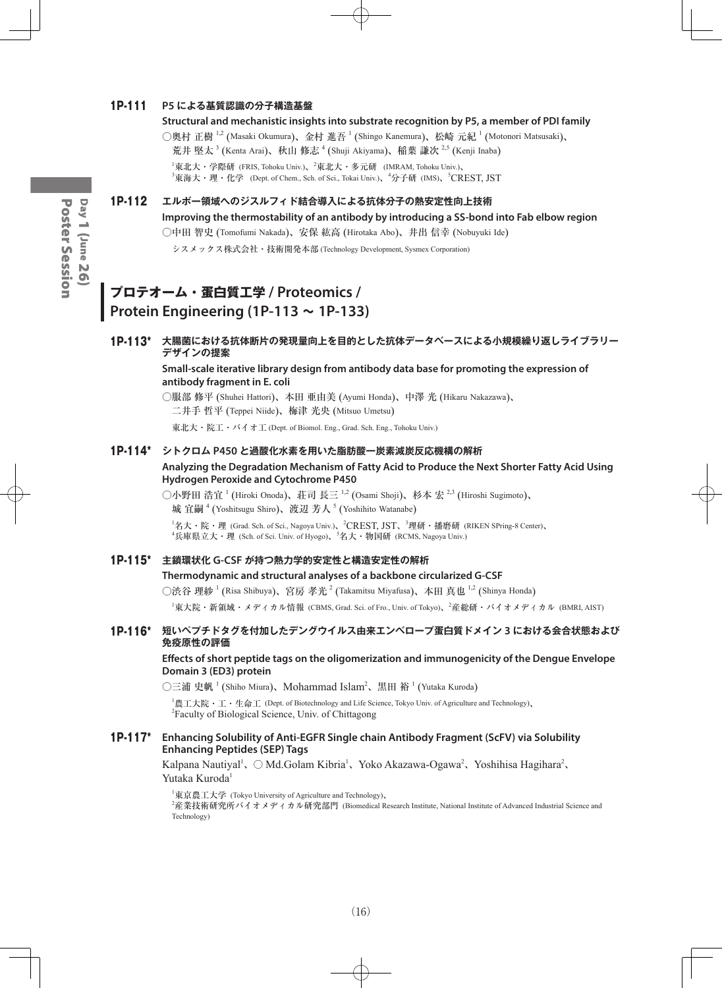### 1P-111 **P5 による基質認識の分子構造基盤**

○奥村 正樹  $^{1,2}$  (Masaki Okumura)、金村 進吾  $^{1}$  (Shingo Kanemura)、松崎 元紀  $^{1}$  (Motonori Matsusaki)、 荒井 堅太<sup>3</sup> (Kenta Arai)、秋山 修志 <sup>4</sup> (Shuji Akiyama)、稲葉 謙次 <sup>2,5</sup> (Kenji Inaba)

 $^1$ 東北大・学際研 (FRIS, Tohoku Univ.)、 $^2$ 東北大・多元研 (IMRAM, Tohoku Univ.)、 <sup>3</sup>東海大・理・化学 (Dept. of Chem., Sch. of Sci., Tokai Univ.)、<sup>4</sup>分子研 (IMS)、<sup>5</sup>CREST, JST

# 1P-112 **エルボー領域へのジスルフィド結合導入による抗体分子の熱安定性向上技術**

**Improving the thermostability of an antibody by introducing a SS-bond into Fab elbow region** ○中田 智史 (Tomofumi Nakada)、安保 紘高 (Hirotaka Abo)、井出 信幸 (Nobuyuki Ide)

シスメックス株式会社・技術開発本部 (Technology Development, Sysmex Corporation)

# **プロテオーム・蛋白質工学 / Proteomics / Protein Engineering (1P-113 ~ 1P-133)**

# 1P-113\* **大腸菌における抗体断片の発現量向上を目的とした抗体データベースによる小規模繰り返しライブラリー デザインの提案**

#### **Small-scale iterative library design from antibody data base for promoting the expression of antibody fragment in E. coli**

○服部 修平 (Shuhei Hattori)、本田 亜由美 (Ayumi Honda)、中澤 光 (Hikaru Nakazawa)、 二井手 哲平 (Teppei Niide)、梅津 光央 (Mitsuo Umetsu)

東北大・院工・バイオ工 (Dept. of Biomol. Eng., Grad. Sch. Eng., Tohoku Univ.)

#### 1P-114\* **シトクロム P450 と過酸化水素を用いた脂肪酸一炭素減炭反応機構の解析**

# **Analyzing the Degradation Mechanism of Fatty Acid to Produce the Next Shorter Fatty Acid Using Hydrogen Peroxide and Cytochrome P450**

○小野田 浩宜 <sup>1</sup> (Hiroki Onoda)、荘司 長三 <sup>1,2</sup> (Osami Shoji)、杉本 宏 <sup>2,3</sup> (Hiroshi Sugimoto)、 城 宜嗣 <sup>4</sup> (Yoshitsugu Shiro)、渡辺 芳人 <sup>5</sup> (Yoshihito Watanabe)

<sup>1</sup>名大・院・理 (Grad. Sch. of Sci., Nagoya Univ.)、<sup>2</sup>CREST, JST、<sup>3</sup>理研・播磨研 (RIKEN SPring-8 Center)、<br><sup>4</sup>兵庫県立大・理 (Sch. of Sci. Univ. of Hyogo)、<sup>5</sup>名大・物国研 (RCMS, Nagoya Univ.)

### 1P-115\* **主鎖環状化 G-CSF が持つ熱力学的安定性と構造安定性の解析**

#### **Thermodynamic and structural analyses of a backbone circularized G-CSF**

○渋谷 理紗  $^1$  (Risa Shibuya)、宮房 孝光  $^2$  (Takamitsu Miyafusa)、本田 真也  $^{1,2}$  (Shinya Honda)

 $^1$ 東大院・新領域・メディカル情報 (CBMS, Grad. Sci. of Fro., Univ. of Tokyo)、 $^2$ 産総研・バイオメディカル (BMRI, AIST)

# 1P-116\* **短いペプチドタグを付加したデングウイルス由来エンベロープ蛋白質ドメイン 3 における会合状態および 免疫原性の評価**

#### **Effects of short peptide tags on the oligomerization and immunogenicity of the Dengue Envelope Domain 3 (ED3) protein**

○三浦 史帆 <sup>1</sup> (Shiho Miura)、Mohammad Islam<sup>2</sup>、黒田 裕 <sup>1</sup> (Yutaka Kuroda)

1 農工大院・工・生命工 (Dept. of Biotechnology and Life Science, Tokyo Univ. of Agriculture and Technology)、 2 Faculty of Biological Science, Univ. of Chittagong

#### 1P-117\* **Enhancing Solubility of Anti-EGFR Single chain Antibody Fragment (ScFV) via Solubility Enhancing Peptides (SEP) Tags**

Kalpana Nautiyal<sup>1</sup>、 ○ Md.Golam Kibria<sup>1</sup>、Yoko Akazawa-Ogawa<sup>2</sup>、Yoshihisa Hagihara<sup>2</sup>、 Yutaka Kuroda<sup>1</sup>

1 東京農工大学 (Tokyo University of Agriculture and Technology)、 2 産業技術研究所バイオメディカル研究部門 (Biomedical Research Institute, National Institute of Advanced Industrial Science and Technology)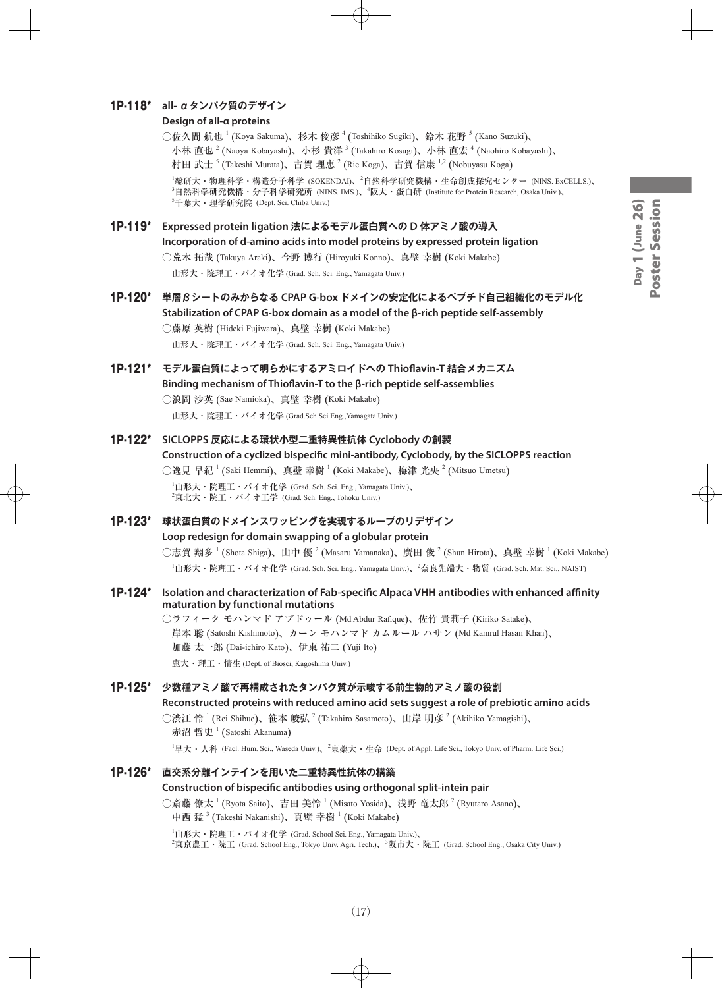# 1P-118\* **all- αタンパク質のデザイン**

#### **Design of all-α proteins**

○佐久間 航也 <sup>1</sup> (Koya Sakuma)、杉木 俊彦 <sup>4</sup> (Toshihiko Sugiki)、鈴木 花野 <sup>5</sup> (Kano Suzuki)、 小林 直也  $^2$  (Naoya Kobayashi)、小杉 貴洋  $^3$  (Takahiro Kosugi)、小林 直宏  $^4$  (Naohiro Kobayashi)、 村田 武士 <sup>5</sup> (Takeshi Murata)、古賀 理恵 <sup>2</sup> (Rie Koga)、古賀 信康 <sup>1,2</sup> (Nobuyasu Koga) <sup>'</sup>総研大・物理科学・構造分子科学 (SOKENDAI)、<sup>2</sup>自然科学研究機構・生命創成探究センター (NINS. ExCELLS.)、 3 自然科学研究機構・分子科学研究所 (NINS. IMS.)、<sup>4</sup> 阪大・蛋白研 (Institute for Protein Research, Osaka Univ.)、 5 千葉大・理学研究院 (Dept. Sci. Chiba Univ.)

1P-119\* **Expressed protein ligation 法によるモデル蛋白質への D 体アミノ酸の導入 Incorporation of d-amino acids into model proteins by expressed protein ligation** ○荒木 拓哉 (Takuya Araki)、今野 博行 (Hiroyuki Konno)、真壁 幸樹 (Koki Makabe)

山形大・院理工・バイオ化学 (Grad. Sch. Sci. Eng., Yamagata Univ.)

1P-120\* **単層βシートのみからなる CPAP G-box ドメインの安定化によるペプチド自己組織化のモデル化 Stabilization of CPAP G-box domain as a model of the β-rich peptide self-assembly** ○藤原 英樹 (Hideki Fujiwara)、真壁 幸樹 (Koki Makabe)

山形大・院理工・バイオ化学 (Grad. Sch. Sci. Eng., Yamagata Univ.)

1P-121\* **モデル蛋白質によって明らかにするアミロイドへの Thioflavin-T 結合メカニズム Binding mechanism of Thioflavin-T to the β-rich peptide self-assemblies** ○浪岡 沙英 (Sae Namioka)、真壁 幸樹 (Koki Makabe)

山形大・院理工・バイオ化学 (Grad.Sch.Sci.Eng.,Yamagata Univ.)

1P-122\* **SICLOPPS 反応による環状小型二重特異性抗体 Cyclobody の創製**

**Construction of a cyclized bispecific mini-antibody, Cyclobody, by the SICLOPPS reaction** ○逸見 早紀  $^1$  (Saki Hemmi)、真壁 幸樹  $^1$  (Koki Makabe)、梅津 光央  $^2$  (Mitsuo Umetsu)  $^{\rm 1}$ 山形大・院理工・バイオ化学 (Grad. Sch. Sci. Eng., Yamagata Univ.)、  $^{2}$ 東北大・院工・バイオ工学 (Grad. Sch. Eng., Tohoku Univ.)

1P-123\* **球状蛋白質のドメインスワッピングを実現するループのリデザイン Loop redesign for domain swapping of a globular protein** ○志賀 翔多  $^1$  (Shota Shiga)、山中 優  $^2$  (Masaru Yamanaka)、廣田 俊  $^2$  (Shun Hirota)、真壁 幸樹  $^1$  (Koki Makabe)

1 山形大・院理工・バイオ化学 (Grad. Sch. Sci. Eng., Yamagata Univ.)、<sup>2</sup> 奈良先端大・物質 (Grad. Sch. Mat. Sci., NAIST)

1P-124\* **Isolation and characterization of Fab-specific Alpaca VHH antibodies with enhanced affinity maturation by functional mutations**

> ○ラフィーク モハンマド アブドゥール (Md Abdur Rafique)、佐竹 貴莉子 (Kiriko Satake)、 岸本 聡 (Satoshi Kishimoto)、カーン モハンマド カムルール ハサン (Md Kamrul Hasan Khan)、 加藤 太一郎 (Dai-ichiro Kato)、伊東 祐二 (Yuji Ito) 鹿大・理工・情生 (Dept. of Biosci, Kagoshima Univ.)

#### 1P-125\* **少数種アミノ酸で再構成されたタンパク質が示唆する前生物的アミノ酸の役割**

**Reconstructed proteins with reduced amino acid sets suggest a role of prebiotic amino acids** ○渋江 怜 <sup>1</sup> (Rei Shibue)、笹本 峻弘 <sup>2</sup> (Takahiro Sasamoto)、山岸 明彦 <sup>2</sup> (Akihiko Yamagishi)、 赤沼 哲史  $^1$  (Satoshi Akanuma)

 $^1$ 早大・人科 (Facl. Hum. Sci., Waseda Univ.)、 $^2$ 東薬大・生命 (Dept. of Appl. Life Sci., Tokyo Univ. of Pharm. Life Sci.)

#### 1P-126\* **直交系分離インテインを用いた二重特異性抗体の構築**

#### **Construction of bispecific antibodies using orthogonal split-intein pair**

○斎藤 僚太  $^1$  (Ryota Saito)、吉田 美怜  $^1$  (Misato Yosida)、浅野 竜太郎  $^2$  (Ryutaro Asano)、 中西 猛  $^3$  (Takeshi Nakanishi)、真壁 幸樹  $^1$  (Koki Makabe)

 $^{\rm 1}$ 山形大・院理工・バイオ化学 (Grad. School Sci. Eng., Yamagata Univ.)、  $^2$ 東亰農工・院工 (Grad. School Eng., Tokyo Univ. Agri. Tech.)、 $^3$ 阪市大・院工 (Grad. School Eng., Osaka City Univ.)